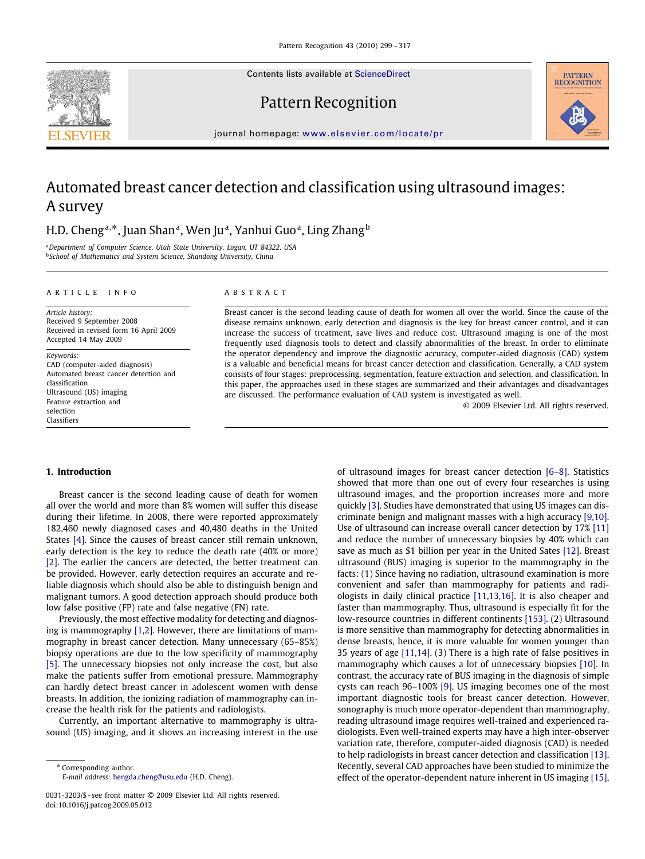Contents lists available at [ScienceDirect](http://www.sciencedirect.com/science/journal/pr)



Pattern Recognition



journal homepage: [www.elsevier.com/locate/pr](http://www.elsevier.com/locate/pr)

# Automated breast cancer detection and classification using ultrasound images: A survey

# H.D. Cheng<sup>a,\*</sup>, Juan Shan<sup>a</sup>, Wen Ju<sup>a</sup>, Yanhui Guo<sup>a</sup>, Ling Zhang<sup>b</sup>

<sup>a</sup>*Department of Computer Science, Utah State University, Logan, UT 84322, USA* <sup>b</sup>*School of Mathematics and System Science, Shandong University, China*

# ARTICLE INFO ABSTRACT

*Article history:* Received 9 September 2008 Received in revised form 16 April 2009 Accepted 14 May 2009

*Keywords:* CAD (computer-aided diagnosis) Automated breast cancer detection and classification Ultrasound (US) imaging Feature extraction and

Breast cancer is the second leading cause of death for women all over the world. Since the cause of the disease remains unknown, early detection and diagnosis is the key for breast cancer control, and it can increase the success of treatment, save lives and reduce cost. Ultrasound imaging is one of the most frequently used diagnosis tools to detect and classify abnormalities of the breast. In order to eliminate the operator dependency and improve the diagnostic accuracy, computer-aided diagnosis (CAD) system is a valuable and beneficial means for breast cancer detection and classification. Generally, a CAD system consists of four stages: preprocessing, segmentation, feature extraction and selection, and classification. In this paper, the approaches used in these stages are summarized and their advantages and disadvantages are discussed. The performance evaluation of CAD system is investigated as well.

© 2009 Elsevier Ltd. All rights reserved.

## **1. Introduction**

selection Classifiers

Breast cancer is the second leading cause of death for women all over the world and more than 8% women will suffer this disease during their lifetime. In 2008, there were reported approximately 182,460 newly diagnosed cases and 40,480 deaths in the United States [\[4\].](#page-15-0) Since the causes of breast cancer still remain unknown, early detection is the key to reduce the death rate (40% or more) [\[2\].](#page-15-1) The earlier the cancers are detected, the better treatment can be provided. However, early detection requires an accurate and reliable diagnosis which should also be able to distinguish benign and malignant tumors. A good detection approach should produce both low false positive (FP) rate and false negative (FN) rate.

Previously, the most effective modality for detecting and diagnosing is mammography [1,2]. However, there are limitations of mammography in breast cancer detection. Many unnecessary (65–85%) biopsy operations are due to the low specificity of mammography [\[5\].](#page-15-2) The unnecessary biopsies not only increase the cost, but also make the patients suffer from emotional pressure. Mammography can hardly detect breast cancer in adolescent women with dense breasts. In addition, the ionizing radiation of mammography can increase the health risk for the patients and radiologists.

Currently, an important alternative to mammography is ultrasound (US) imaging, and it shows an increasing interest in the use

∗ Corresponding author. *E-mail address:* [hengda.cheng@usu.edu](mailto:hengda.cheng@usu.edu) (H.D. Cheng). of ultrasound images for breast cancer detection [6–8]. Statistics showed that more than one out of every four researches is using ultrasound images, and the proportion increases more and more quickly [\[3\].](#page-15-3) Studies have demonstrated that using US images can discriminate benign and malignant masses with a high accuracy [9,10]. Use of ultrasound can increase overall cancer detection by 17% [\[11\]](#page-15-4) and reduce the number of unnecessary biopsies by 40% which can save as much as \$1 billion per year in the United Sates [\[12\].](#page-15-5) Breast ultrasound (BUS) imaging is superior to the mammography in the facts: (1) Since having no radiation, ultrasound examination is more convenient and safer than mammography for patients and radiologists in daily clinical practice [11,13,16]. It is also cheaper and faster than mammography. Thus, ultrasound is especially fit for the low-resource countries in different continents [\[153\].](#page-17-0) (2) Ultrasound is more sensitive than mammography for detecting abnormalities in dense breasts, hence, it is more valuable for women younger than 35 years of age [11,14]. (3) There is a high rate of false positives in mammography which causes a lot of unnecessary biopsies [\[10\].](#page-15-6) In contrast, the accuracy rate of BUS imaging in the diagnosis of simple cysts can reach 96–100% [\[9\].](#page-15-7) US imaging becomes one of the most important diagnostic tools for breast cancer detection. However, sonography is much more operator-dependent than mammography, reading ultrasound image requires well-trained and experienced radiologists. Even well-trained experts may have a high inter-observer variation rate, therefore, computer-aided diagnosis (CAD) is needed to help radiologists in breast cancer detection and classification [\[13\].](#page-15-8) Recently, several CAD approaches have been studied to minimize the effect of the operator-dependent nature inherent in US imaging [\[15\],](#page-15-9)

<sup>0031-3203/\$ -</sup> see front matter © 2009 Elsevier Ltd. All rights reserved. doi:10.1016/j.patcog.2009.05.012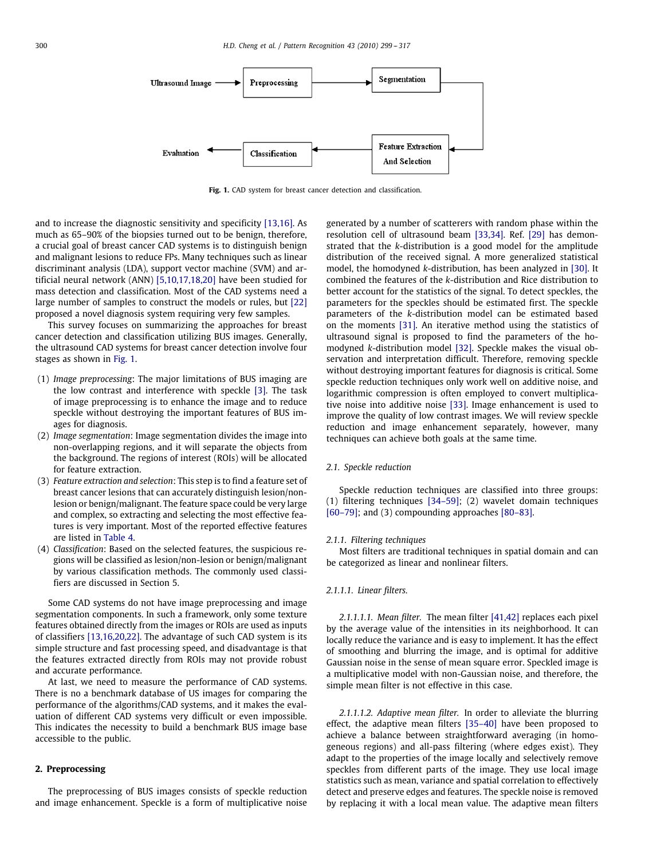

**Fig. 1.** CAD system for breast cancer detection and classification.

and to increase the diagnostic sensitivity and specificity [13,16]. As much as 65–90% of the biopsies turned out to be benign, therefore, a crucial goal of breast cancer CAD systems is to distinguish benign and malignant lesions to reduce FPs. Many techniques such as linear discriminant analysis (LDA), support vector machine (SVM) and artificial neural network (ANN) [5,10,17,18,20] have been studied for mass detection and classification. Most of the CAD systems need a large number of samples to construct the models or rules, but [\[22\]](#page-15-10) proposed a novel diagnosis system requiring very few samples.

This survey focuses on summarizing the approaches for breast cancer detection and classification utilizing BUS images. Generally, the ultrasound CAD systems for breast cancer detection involve four stages as shown in [Fig. 1.](#page-1-0)

- (1) *Image preprocessing*: The major limitations of BUS imaging are the low contrast and interference with speckle [\[3\].](#page-15-3) The task of image preprocessing is to enhance the image and to reduce speckle without destroying the important features of BUS images for diagnosis.
- (2) *Image segmentation*: Image segmentation divides the image into non-overlapping regions, and it will separate the objects from the background. The regions of interest (ROIs) will be allocated for feature extraction.
- (3) *Feature extraction and selection*: This step is to find a feature set of breast cancer lesions that can accurately distinguish lesion/nonlesion or benign/malignant. The feature space could be very large and complex, so extracting and selecting the most effective features is very important. Most of the reported effective features are listed in [Table 4.](#page-8-0)
- (4) *Classification*: Based on the selected features, the suspicious regions will be classified as lesion/non-lesion or benign/malignant by various classification methods. The commonly used classifiers are discussed in Section 5.

Some CAD systems do not have image preprocessing and image segmentation components. In such a framework, only some texture features obtained directly from the images or ROIs are used as inputs of classifiers [13,16,20,22]. The advantage of such CAD system is its simple structure and fast processing speed, and disadvantage is that the features extracted directly from ROIs may not provide robust and accurate performance.

At last, we need to measure the performance of CAD systems. There is no a benchmark database of US images for comparing the performance of the algorithms/CAD systems, and it makes the evaluation of different CAD systems very difficult or even impossible. This indicates the necessity to build a benchmark BUS image base accessible to the public.

# **2. Preprocessing**

The preprocessing of BUS images consists of speckle reduction and image enhancement. Speckle is a form of multiplicative noise <span id="page-1-0"></span>generated by a number of scatterers with random phase within the resolution cell of ultrasound beam [33,34]. Ref. [\[29\]](#page-15-11) has demonstrated that the *k*-distribution is a good model for the amplitude distribution of the received signal. A more generalized statistical model, the homodyned *k*-distribution, has been analyzed in [\[30\].](#page-15-12) It combined the features of the *k*-distribution and Rice distribution to better account for the statistics of the signal. To detect speckles, the parameters for the speckles should be estimated first. The speckle parameters of the *k*-distribution model can be estimated based on the moments [\[31\].](#page-15-13) An iterative method using the statistics of ultrasound signal is proposed to find the parameters of the homodyned *k*-distribution model [\[32\].](#page-15-14) Speckle makes the visual observation and interpretation difficult. Therefore, removing speckle without destroying important features for diagnosis is critical. Some speckle reduction techniques only work well on additive noise, and logarithmic compression is often employed to convert multiplicative noise into additive noise [\[33\].](#page-15-15) Image enhancement is used to improve the quality of low contrast images. We will review speckle reduction and image enhancement separately, however, many techniques can achieve both goals at the same time.

# *2.1. Speckle reduction*

Speckle reduction techniques are classified into three groups: (1) filtering techniques [34–59]; (2) wavelet domain techniques [60–79]; and (3) compounding approaches [80–83].

# *2.1.1. Filtering techniques*

Most filters are traditional techniques in spatial domain and can be categorized as linear and nonlinear filters.

# *2.1.1.1. Linear filters.*

*2.1.1.1.1. Mean filter.* The mean filter [41,42] replaces each pixel by the average value of the intensities in its neighborhood. It can locally reduce the variance and is easy to implement. It has the effect of smoothing and blurring the image, and is optimal for additive Gaussian noise in the sense of mean square error. Speckled image is a multiplicative model with non-Gaussian noise, and therefore, the simple mean filter is not effective in this case.

*2.1.1.1.2. Adaptive mean filter.* In order to alleviate the blurring effect, the adaptive mean filters [35–40] have been proposed to achieve a balance between straightforward averaging (in homogeneous regions) and all-pass filtering (where edges exist). They adapt to the properties of the image locally and selectively remove speckles from different parts of the image. They use local image statistics such as mean, variance and spatial correlation to effectively detect and preserve edges and features. The speckle noise is removed by replacing it with a local mean value. The adaptive mean filters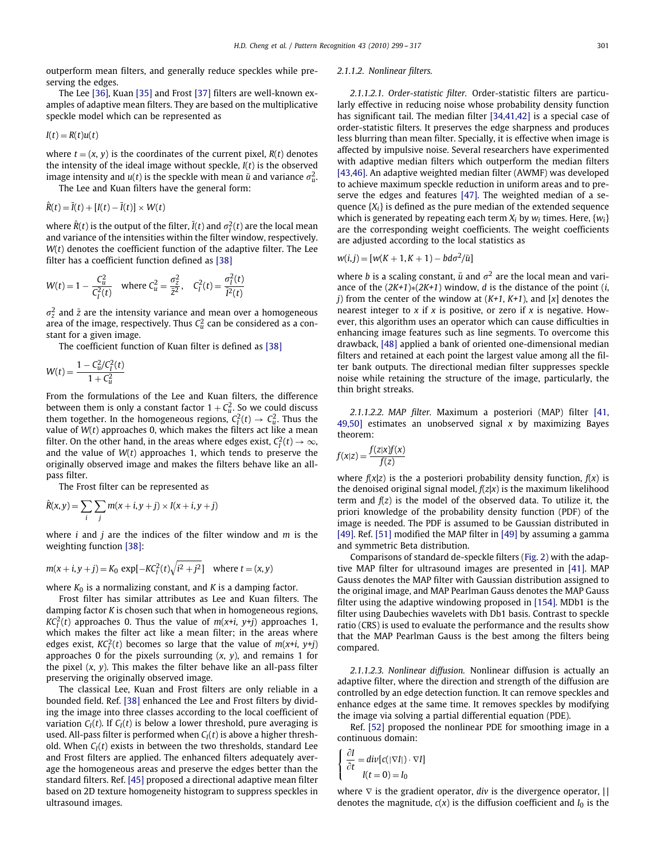outperform mean filters, and generally reduce speckles while preserving the edges.

The Lee [\[36\],](#page-15-16) Kuan [\[35\]](#page-15-17) and Frost [\[37\]](#page-15-18) filters are well-known examples of adaptive mean filters. They are based on the multiplicative speckle model which can be represented as

$$
I(t) = R(t)u(t)
$$

where  $t = (x, y)$  is the coordinates of the current pixel,  $R(t)$  denotes the intensity of the ideal image without speckle, *I*(*t*) is the observed image intensity and  $u(t)$  is the speckle with mean  $\bar{u}$  and variance  $\sigma_u^2$ .

The Lee and Kuan filters have the general form:

$$
\hat{R}(t) = \bar{I}(t) + [I(t) - \bar{I}(t)] \times W(t)
$$

where  $\hat{R}(t)$  is the output of the filter,  $\bar{I}(t)$  and  $\sigma_I^2(t)$  are the local mean and variance of the intensities within the filter window, respectively. *W*(*t*) denotes the coefficient function of the adaptive filter. The Lee filter has a coefficient function defined as [\[38\]](#page-15-19)

$$
W(t) = 1 - \frac{C_u^2}{C_l^2(t)}
$$
 where  $C_u^2 = \frac{\sigma_z^2}{\bar{z}^2}$ ,  $C_l^2(t) = \frac{\sigma_l^2(t)}{\bar{l}^2(t)}$ 

 $\sigma_z^2$  and  $\bar{z}$  are the intensity variance and mean over a homogeneous area of the image, respectively. Thus  $C_u^2$  can be considered as a constant for a given image.

The coefficient function of Kuan filter is defined as [\[38\]](#page-15-19)

$$
W(t) = \frac{1 - C_u^2 / C_I^2(t)}{1 + C_u^2}
$$

From the formulations of the Lee and Kuan filters, the difference between them is only a constant factor  $1 + C_u^2$ . So we could discuss them together. In the homogeneous regions,  $C_l^2(t) \rightarrow C_u^2$ . Thus the value of *W*(*t*) approaches 0, which makes the filters act like a mean filter. On the other hand, in the areas where edges exist,  $\mathcal{C}^2_{{\bm l}}(t) \to \infty$ , and the value of *W*(*t*) approaches 1, which tends to preserve the originally observed image and makes the filters behave like an allpass filter.

The Frost filter can be represented as

$$
\hat{R}(x,y) = \sum_i \sum_j m(x+i, y+j) \times I(x+i, y+j)
$$

where *i* and *j* are the indices of the filter window and *m* is the weighting function [\[38\]:](#page-15-19)

$$
m(x + i, y + j) = K_0 \exp[-KC_I^2(t)\sqrt{i^2 + j^2}]
$$
 where  $t = (x, y)$ 

where  $K_0$  is a normalizing constant, and  $K$  is a damping factor.

Frost filter has similar attributes as Lee and Kuan filters. The damping factor *K* is chosen such that when in homogeneous regions, *KC*<sup>2</sup><sub>*I*</sub>(*t*) approaches 0. Thus the value of *m*(*x*+*i*, *y*+*j*) approaches 1, which makes the filter act like a mean filter; in the areas where edges exist,  $KC<sub>I</sub><sup>2</sup>(t)$  becomes so large that the value of  $m(x+i, y+j)$ approaches 0 for the pixels surrounding  $(x, y)$ , and remains 1 for the pixel  $(x, y)$ . This makes the filter behave like an all-pass filter preserving the originally observed image.

The classical Lee, Kuan and Frost filters are only reliable in a bounded field. Ref. [\[38\]](#page-15-19) enhanced the Lee and Frost filters by dividing the image into three classes according to the local coefficient of variation  $C_I(t)$ . If  $C_I(t)$  is below a lower threshold, pure averaging is used. All-pass filter is performed when  $C<sub>I</sub>(t)$  is above a higher threshold. When  $C<sub>I</sub>(t)$  exists in between the two thresholds, standard Lee and Frost filters are applied. The enhanced filters adequately average the homogeneous areas and preserve the edges better than the standard filters. Ref. [\[45\]](#page-16-0) proposed a directional adaptive mean filter based on 2D texture homogeneity histogram to suppress speckles in ultrasound images.

#### *2.1.1.2. Nonlinear filters.*

*2.1.1.2.1. Order-statistic filter.* Order-statistic filters are particularly effective in reducing noise whose probability density function has significant tail. The median filter [34,41,42] is a special case of order-statistic filters. It preserves the edge sharpness and produces less blurring than mean filter. Specially, it is effective when image is affected by impulsive noise. Several researchers have experimented with adaptive median filters which outperform the median filters [43,46]. An adaptive weighted median filter (AWMF) was developed to achieve maximum speckle reduction in uniform areas and to preserve the edges and features [\[47\].](#page-16-1) The weighted median of a sequence {*Xi*} is defined as the pure median of the extended sequence which is generated by repeating each term  $X_i$  by  $w_i$  times. Here,  $\{w_i\}$ are the corresponding weight coefficients. The weight coefficients are adjusted according to the local statistics as

$$
w(i,j) = [w(K + 1, K + 1) - bd\sigma^2/\bar{u}]
$$

where *b* is a scaling constant,  $\bar{u}$  and  $\sigma^2$  are the local mean and variance of the (*2K+1*)∗(*2K+1*) window, *d* is the distance of the point (*i*, *j*) from the center of the window at (*K+1*, *K+1*), and [*x*] denotes the nearest integer to *x* if *x* is positive, or zero if *x* is negative. However, this algorithm uses an operator which can cause difficulties in enhancing image features such as line segments. To overcome this drawback, [\[48\]](#page-16-2) applied a bank of oriented one-dimensional median filters and retained at each point the largest value among all the filter bank outputs. The directional median filter suppresses speckle noise while retaining the structure of the image, particularly, the thin bright streaks.

*2.1.1.2.2. MAP filter.* Maximum a posteriori (MAP) filter [41, 49,50] estimates an unobserved signal *x* by maximizing Bayes theorem:

$$
f(x|z) = \frac{f(z|x)f(x)}{f(z)}
$$

where  $f(x|z)$  is the a posteriori probability density function,  $f(x)$  is the denoised original signal model, *f*(*z|x*) is the maximum likelihood term and *f*(*z*) is the model of the observed data. To utilize it, the priori knowledge of the probability density function (PDF) of the image is needed. The PDF is assumed to be Gaussian distributed in [\[49\].](#page-16-3) Ref. [\[51\]](#page-16-4) modified the MAP filter in [\[49\]](#page-16-3) by assuming a gamma and symmetric Beta distribution.

Comparisons of standard de-speckle filters [\(Fig. 2\)](#page-3-0) with the adaptive MAP filter for ultrasound images are presented in [\[41\].](#page-15-20) MAP Gauss denotes the MAP filter with Gaussian distribution assigned to the original image, and MAP Pearlman Gauss denotes the MAP Gauss filter using the adaptive windowing proposed in [\[154\].](#page-17-1) MDb1 is the filter using Daubechies wavelets with Db1 basis. Contrast to speckle ratio (CRS) is used to evaluate the performance and the results show that the MAP Pearlman Gauss is the best among the filters being compared.

*2.1.1.2.3. Nonlinear diffusion.* Nonlinear diffusion is actually an adaptive filter, where the direction and strength of the diffusion are controlled by an edge detection function. It can remove speckles and enhance edges at the same time. It removes speckles by modifying the image via solving a partial differential equation (PDE).

Ref. [\[52\]](#page-16-5) proposed the nonlinear PDE for smoothing image in a continuous domain:

$$
\begin{cases} \frac{\partial I}{\partial t} = div[c(|\nabla I|) \cdot \nabla I] \\ I(t=0) = I_0 \end{cases}
$$

where  $∇$  is the gradient operator, *div* is the divergence operator, || denotes the magnitude,  $c(x)$  is the diffusion coefficient and  $I_0$  is the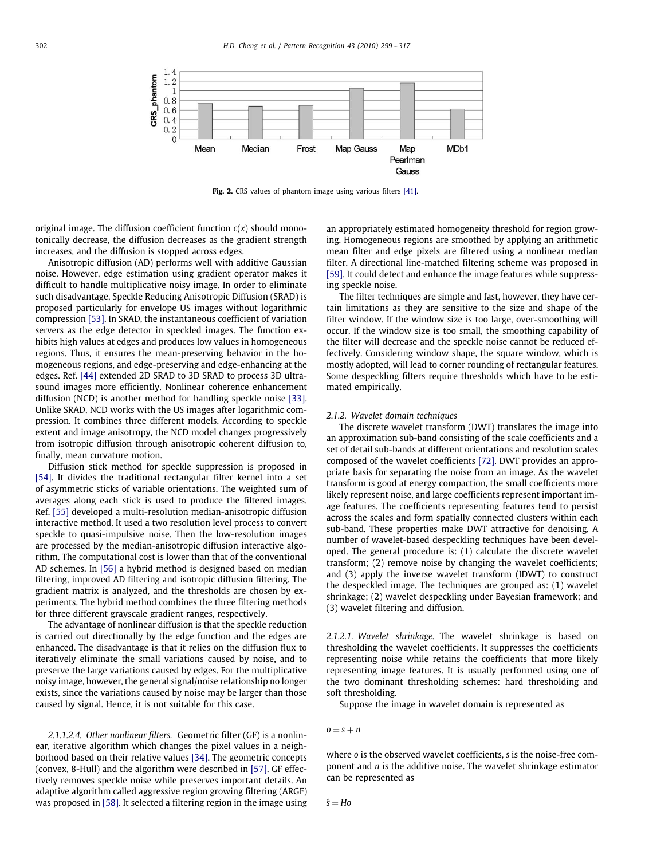

**Fig. 2.** CRS values of phantom image using various filters [\[41\].](#page-15-20)

original image. The diffusion coefficient function *c*(*x*) should monotonically decrease, the diffusion decreases as the gradient strength increases, and the diffusion is stopped across edges.

Anisotropic diffusion (AD) performs well with additive Gaussian noise. However, edge estimation using gradient operator makes it difficult to handle multiplicative noisy image. In order to eliminate such disadvantage, Speckle Reducing Anisotropic Diffusion (SRAD) is proposed particularly for envelope US images without logarithmic compression [\[53\].](#page-16-6) In SRAD, the instantaneous coefficient of variation servers as the edge detector in speckled images. The function exhibits high values at edges and produces low values in homogeneous regions. Thus, it ensures the mean-preserving behavior in the homogeneous regions, and edge-preserving and edge-enhancing at the edges. Ref. [\[44\]](#page-16-7) extended 2D SRAD to 3D SRAD to process 3D ultrasound images more efficiently. Nonlinear coherence enhancement diffusion (NCD) is another method for handling speckle noise [\[33\].](#page-15-15) Unlike SRAD, NCD works with the US images after logarithmic compression. It combines three different models. According to speckle extent and image anisotropy, the NCD model changes progressively from isotropic diffusion through anisotropic coherent diffusion to, finally, mean curvature motion.

Diffusion stick method for speckle suppression is proposed in [\[54\].](#page-16-8) It divides the traditional rectangular filter kernel into a set of asymmetric sticks of variable orientations. The weighted sum of averages along each stick is used to produce the filtered images. Ref. [\[55\]](#page-16-9) developed a multi-resolution median-anisotropic diffusion interactive method. It used a two resolution level process to convert speckle to quasi-impulsive noise. Then the low-resolution images are processed by the median-anisotropic diffusion interactive algorithm. The computational cost is lower than that of the conventional AD schemes. In [\[56\]](#page-16-10) a hybrid method is designed based on median filtering, improved AD filtering and isotropic diffusion filtering. The gradient matrix is analyzed, and the thresholds are chosen by experiments. The hybrid method combines the three filtering methods for three different grayscale gradient ranges, respectively.

The advantage of nonlinear diffusion is that the speckle reduction is carried out directionally by the edge function and the edges are enhanced. The disadvantage is that it relies on the diffusion flux to iteratively eliminate the small variations caused by noise, and to preserve the large variations caused by edges. For the multiplicative noisy image, however, the general signal/noise relationship no longer exists, since the variations caused by noise may be larger than those caused by signal. Hence, it is not suitable for this case.

*2.1.1.2.4. Other nonlinear filters.* Geometric filter (GF) is a nonlinear, iterative algorithm which changes the pixel values in a neighborhood based on their relative values [\[34\].](#page-15-21) The geometric concepts (convex, 8-Hull) and the algorithm were described in [\[57\].](#page-16-11) GF effectively removes speckle noise while preserves important details. An adaptive algorithm called aggressive region growing filtering (ARGF) was proposed in [\[58\].](#page-16-12) It selected a filtering region in the image using <span id="page-3-0"></span>an appropriately estimated homogeneity threshold for region growing. Homogeneous regions are smoothed by applying an arithmetic mean filter and edge pixels are filtered using a nonlinear median filter. A directional line-matched filtering scheme was proposed in [\[59\].](#page-16-13) It could detect and enhance the image features while suppressing speckle noise.

The filter techniques are simple and fast, however, they have certain limitations as they are sensitive to the size and shape of the filter window. If the window size is too large, over-smoothing will occur. If the window size is too small, the smoothing capability of the filter will decrease and the speckle noise cannot be reduced effectively. Considering window shape, the square window, which is mostly adopted, will lead to corner rounding of rectangular features. Some despeckling filters require thresholds which have to be estimated empirically.

# *2.1.2. Wavelet domain techniques*

The discrete wavelet transform (DWT) translates the image into an approximation sub-band consisting of the scale coefficients and a set of detail sub-bands at different orientations and resolution scales composed of the wavelet coefficients [\[72\].](#page-16-14) DWT provides an appropriate basis for separating the noise from an image. As the wavelet transform is good at energy compaction, the small coefficients more likely represent noise, and large coefficients represent important image features. The coefficients representing features tend to persist across the scales and form spatially connected clusters within each sub-band. These properties make DWT attractive for denoising. A number of wavelet-based despeckling techniques have been developed. The general procedure is: (1) calculate the discrete wavelet transform; (2) remove noise by changing the wavelet coefficients; and (3) apply the inverse wavelet transform (IDWT) to construct the despeckled image. The techniques are grouped as: (1) wavelet shrinkage; (2) wavelet despeckling under Bayesian framework; and (3) wavelet filtering and diffusion.

*2.1.2.1. Wavelet shrinkage.* The wavelet shrinkage is based on thresholding the wavelet coefficients. It suppresses the coefficients representing noise while retains the coefficients that more likely representing image features. It is usually performed using one of the two dominant thresholding schemes: hard thresholding and soft thresholding.

Suppose the image in wavelet domain is represented as

 $o = s + n$ 

where *o* is the observed wavelet coefficients, *s* is the noise-free component and *n* is the additive noise. The wavelet shrinkage estimator can be represented as

 $\hat{s} = Ho$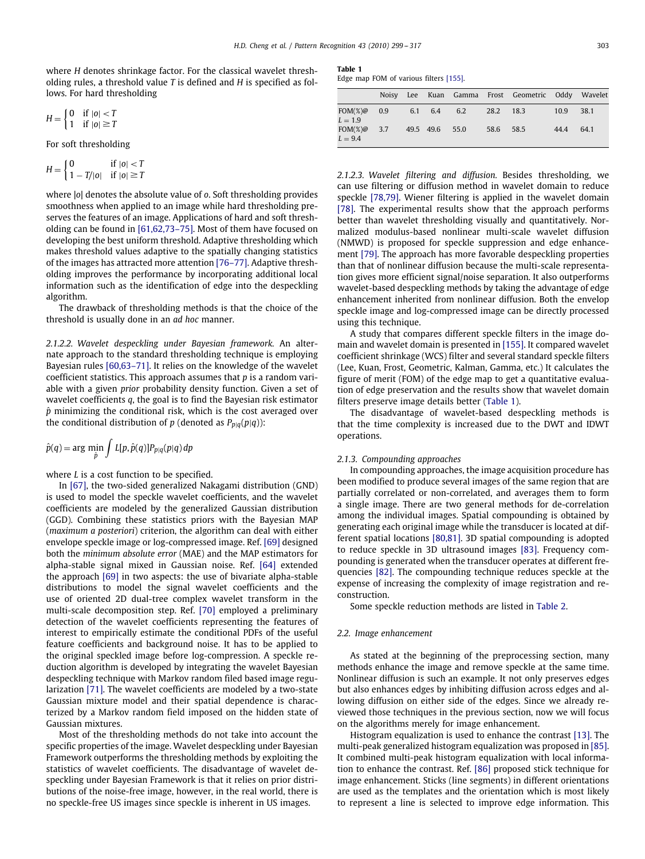where *H* denotes shrinkage factor. For the classical wavelet thresholding rules, a threshold value *T* is defined and *H* is specified as follows. For hard thresholding

$$
H = \begin{cases} 0 & \text{if } |o| < T \\ 1 & \text{if } |o| \ge T \end{cases}
$$

For soft thresholding

$$
H = \begin{cases} 0 & \text{if } |o| < T \\ 1 - T/|o| & \text{if } |o| \ge T \end{cases}
$$

where |*o*| denotes the absolute value of *o*. Soft thresholding provides smoothness when applied to an image while hard thresholding preserves the features of an image. Applications of hard and soft thresholding can be found in [61,62,73–75]. Most of them have focused on developing the best uniform threshold. Adaptive thresholding which makes threshold values adaptive to the spatially changing statistics of the images has attracted more attention [76–77]. Adaptive thresholding improves the performance by incorporating additional local information such as the identification of edge into the despeckling algorithm.

The drawback of thresholding methods is that the choice of the threshold is usually done in an *ad hoc* manner.

*2.1.2.2. Wavelet despeckling under Bayesian framework.* An alternate approach to the standard thresholding technique is employing Bayesian rules [60,63–71]. It relies on the knowledge of the wavelet coefficient statistics. This approach assumes that *p* is a random variable with a given *prior* probability density function. Given a set of wavelet coefficients *q*, the goal is to find the Bayesian risk estimator *p*ˆ minimizing the conditional risk, which is the cost averaged over the conditional distribution of  $p$  (denoted as  $P_{p|q}(p|q)$ ):

$$
\hat{p}(q) = \arg\min_{\hat{p}} \int L[p, \hat{p}(q)] P_{p|q}(p|q) dp
$$

where *L* is a cost function to be specified.

In [\[67\],](#page-16-15) the two-sided generalized Nakagami distribution (GND) is used to model the speckle wavelet coefficients, and the wavelet coefficients are modeled by the generalized Gaussian distribution (GGD). Combining these statistics priors with the Bayesian MAP (*maximum a posteriori*) criterion, the algorithm can deal with either envelope speckle image or log-compressed image. Ref. [\[69\]](#page-16-16) designed both the *minimum absolute error* (MAE) and the MAP estimators for alpha-stable signal mixed in Gaussian noise. Ref. [\[64\]](#page-16-17) extended the approach [\[69\]](#page-16-16) in two aspects: the use of bivariate alpha-stable distributions to model the signal wavelet coefficients and the use of oriented 2D dual-tree complex wavelet transform in the multi-scale decomposition step. Ref. [\[70\]](#page-16-18) employed a preliminary detection of the wavelet coefficients representing the features of interest to empirically estimate the conditional PDFs of the useful feature coefficients and background noise. It has to be applied to the original speckled image before log-compression. A speckle reduction algorithm is developed by integrating the wavelet Bayesian despeckling technique with Markov random filed based image regularization [\[71\].](#page-16-19) The wavelet coefficients are modeled by a two-state Gaussian mixture model and their spatial dependence is characterized by a Markov random field imposed on the hidden state of Gaussian mixtures.

Most of the thresholding methods do not take into account the specific properties of the image. Wavelet despeckling under Bayesian Framework outperforms the thresholding methods by exploiting the statistics of wavelet coefficients. The disadvantage of wavelet despeckling under Bayesian Framework is that it relies on prior distributions of the noise-free image, however, in the real world, there is no speckle-free US images since speckle is inherent in US images.

**Table 1** Edge map FOM of various filters [\[155\].](#page-17-2)

<span id="page-4-0"></span>

|                                  |     |                |             |           | Noisy Lee Kuan Gamma Frost Geometric Oddy Wavelet |      |      |
|----------------------------------|-----|----------------|-------------|-----------|---------------------------------------------------|------|------|
| $FOM(\mathcal{X})@$<br>$L = 1.9$ | 0.9 |                | 6.1 6.4 6.2 | 28.2 18.3 |                                                   | 10.9 | 38.1 |
| $FOM(\%)\omega$ 3.7<br>$L = 9.4$ |     | 49.5 49.6 55.0 |             | 58.6      | 58.5                                              | 44.4 | 64.1 |

*2.1.2.3. Wavelet filtering and diffusion.* Besides thresholding, we can use filtering or diffusion method in wavelet domain to reduce speckle [78,79]. Wiener filtering is applied in the wavelet domain [\[78\].](#page-16-20) The experimental results show that the approach performs better than wavelet thresholding visually and quantitatively. Normalized modulus-based nonlinear multi-scale wavelet diffusion (NMWD) is proposed for speckle suppression and edge enhancement [\[79\].](#page-16-21) The approach has more favorable despeckling properties than that of nonlinear diffusion because the multi-scale representation gives more efficient signal/noise separation. It also outperforms wavelet-based despeckling methods by taking the advantage of edge enhancement inherited from nonlinear diffusion. Both the envelop speckle image and log-compressed image can be directly processed using this technique.

A study that compares different speckle filters in the image domain and wavelet domain is presented in [\[155\].](#page-17-2) It compared wavelet coefficient shrinkage (WCS) filter and several standard speckle filters (Lee, Kuan, Frost, Geometric, Kalman, Gamma, etc.) It calculates the figure of merit (FOM) of the edge map to get a quantitative evaluation of edge preservation and the results show that wavelet domain filters preserve image details better [\(Table 1\)](#page-4-0).

The disadvantage of wavelet-based despeckling methods is that the time complexity is increased due to the DWT and IDWT operations.

#### *2.1.3. Compounding approaches*

In compounding approaches, the image acquisition procedure has been modified to produce several images of the same region that are partially correlated or non-correlated, and averages them to form a single image. There are two general methods for de-correlation among the individual images. Spatial compounding is obtained by generating each original image while the transducer is located at different spatial locations [80,81]. 3D spatial compounding is adopted to reduce speckle in 3D ultrasound images [\[83\].](#page-16-22) Frequency compounding is generated when the transducer operates at different frequencies [\[82\].](#page-16-23) The compounding technique reduces speckle at the expense of increasing the complexity of image registration and reconstruction.

Some speckle reduction methods are listed in [Table 2.](#page-5-0)

# *2.2. Image enhancement*

As stated at the beginning of the preprocessing section, many methods enhance the image and remove speckle at the same time. Nonlinear diffusion is such an example. It not only preserves edges but also enhances edges by inhibiting diffusion across edges and allowing diffusion on either side of the edges. Since we already reviewed those techniques in the previous section, now we will focus on the algorithms merely for image enhancement.

Histogram equalization is used to enhance the contrast [\[13\].](#page-15-8) The multi-peak generalized histogram equalization was proposed in [\[85\].](#page-16-24) It combined multi-peak histogram equalization with local information to enhance the contrast. Ref. [\[86\]](#page-16-25) proposed stick technique for image enhancement. Sticks (line segments) in different orientations are used as the templates and the orientation which is most likely to represent a line is selected to improve edge information. This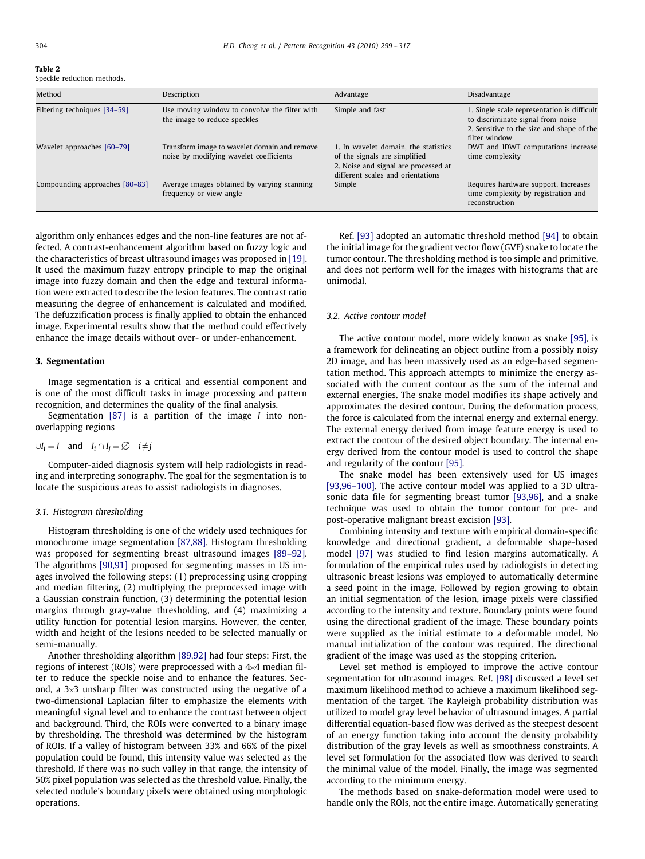<span id="page-5-0"></span>**Table 2** Speckle reduction methods.

| Method                         | Description                                                                             | Advantage                                                                                                                                          | Disadvantage                                                                                                                                   |
|--------------------------------|-----------------------------------------------------------------------------------------|----------------------------------------------------------------------------------------------------------------------------------------------------|------------------------------------------------------------------------------------------------------------------------------------------------|
| Filtering techniques [34-59]   | Use moving window to convolve the filter with<br>the image to reduce speckles           | Simple and fast                                                                                                                                    | 1. Single scale representation is difficult<br>to discriminate signal from noise<br>2. Sensitive to the size and shape of the<br>filter window |
| Wavelet approaches [60-79]     | Transform image to wavelet domain and remove<br>noise by modifying wavelet coefficients | 1. In wavelet domain, the statistics<br>of the signals are simplified<br>2. Noise and signal are processed at<br>different scales and orientations | DWT and IDWT computations increase<br>time complexity                                                                                          |
| Compounding approaches [80-83] | Average images obtained by varying scanning<br>frequency or view angle                  | Simple                                                                                                                                             | Requires hardware support. Increases<br>time complexity by registration and<br>reconstruction                                                  |

algorithm only enhances edges and the non-line features are not affected. A contrast-enhancement algorithm based on fuzzy logic and the characteristics of breast ultrasound images was proposed in [\[19\].](#page-15-22) It used the maximum fuzzy entropy principle to map the original image into fuzzy domain and then the edge and textural information were extracted to describe the lesion features. The contrast ratio measuring the degree of enhancement is calculated and modified. The defuzzification process is finally applied to obtain the enhanced image. Experimental results show that the method could effectively enhance the image details without over- or under-enhancement.

#### **3. Segmentation**

Image segmentation is a critical and essential component and is one of the most difficult tasks in image processing and pattern recognition, and determines the quality of the final analysis.

Segmentation [\[87\]](#page-16-26) is a partition of the image *I* into nonoverlapping regions

# ∪ $I_i = I$  and  $I_i ∩ I_j = ∅$   $i \neq j$

Computer-aided diagnosis system will help radiologists in reading and interpreting sonography. The goal for the segmentation is to locate the suspicious areas to assist radiologists in diagnoses.

# *3.1. Histogram thresholding*

Histogram thresholding is one of the widely used techniques for monochrome image segmentation [87,88]. Histogram thresholding was proposed for segmenting breast ultrasound images [89–92]. The algorithms [90,91] proposed for segmenting masses in US images involved the following steps: (1) preprocessing using cropping and median filtering, (2) multiplying the preprocessed image with a Gaussian constrain function, (3) determining the potential lesion margins through gray-value thresholding, and (4) maximizing a utility function for potential lesion margins. However, the center, width and height of the lesions needed to be selected manually or semi-manually.

Another thresholding algorithm [89,92] had four steps: First, the regions of interest (ROIs) were preprocessed with a  $4\times4$  median filter to reduce the speckle noise and to enhance the features. Second, a 3×3 unsharp filter was constructed using the negative of a two-dimensional Laplacian filter to emphasize the elements with meaningful signal level and to enhance the contrast between object and background. Third, the ROIs were converted to a binary image by thresholding. The threshold was determined by the histogram of ROIs. If a valley of histogram between 33% and 66% of the pixel population could be found, this intensity value was selected as the threshold. If there was no such valley in that range, the intensity of 50% pixel population was selected as the threshold value. Finally, the selected nodule's boundary pixels were obtained using morphologic operations.

Ref. [\[93\]](#page-16-27) adopted an automatic threshold method [\[94\]](#page-16-28) to obtain the initial image for the gradient vector flow (GVF) snake to locate the tumor contour. The thresholding method is too simple and primitive, and does not perform well for the images with histograms that are unimodal.

# *3.2. Active contour model*

The active contour model, more widely known as snake [\[95\],](#page-16-29) is a framework for delineating an object outline from a possibly noisy 2D image, and has been massively used as an edge-based segmentation method. This approach attempts to minimize the energy associated with the current contour as the sum of the internal and external energies. The snake model modifies its shape actively and approximates the desired contour. During the deformation process, the force is calculated from the internal energy and external energy. The external energy derived from image feature energy is used to extract the contour of the desired object boundary. The internal energy derived from the contour model is used to control the shape and regularity of the contour [\[95\].](#page-16-29)

The snake model has been extensively used for US images [93,96–100]. The active contour model was applied to a 3D ultrasonic data file for segmenting breast tumor [93,96], and a snake technique was used to obtain the tumor contour for pre- and post-operative malignant breast excision [\[93\].](#page-16-27)

Combining intensity and texture with empirical domain-specific knowledge and directional gradient, a deformable shape-based model [\[97\]](#page-16-30) was studied to find lesion margins automatically. A formulation of the empirical rules used by radiologists in detecting ultrasonic breast lesions was employed to automatically determine a seed point in the image. Followed by region growing to obtain an initial segmentation of the lesion, image pixels were classified according to the intensity and texture. Boundary points were found using the directional gradient of the image. These boundary points were supplied as the initial estimate to a deformable model. No manual initialization of the contour was required. The directional gradient of the image was used as the stopping criterion.

Level set method is employed to improve the active contour segmentation for ultrasound images. Ref. [\[98\]](#page-16-31) discussed a level set maximum likelihood method to achieve a maximum likelihood segmentation of the target. The Rayleigh probability distribution was utilized to model gray level behavior of ultrasound images. A partial differential equation-based flow was derived as the steepest descent of an energy function taking into account the density probability distribution of the gray levels as well as smoothness constraints. A level set formulation for the associated flow was derived to search the minimal value of the model. Finally, the image was segmented according to the minimum energy.

The methods based on snake-deformation model were used to handle only the ROIs, not the entire image. Automatically generating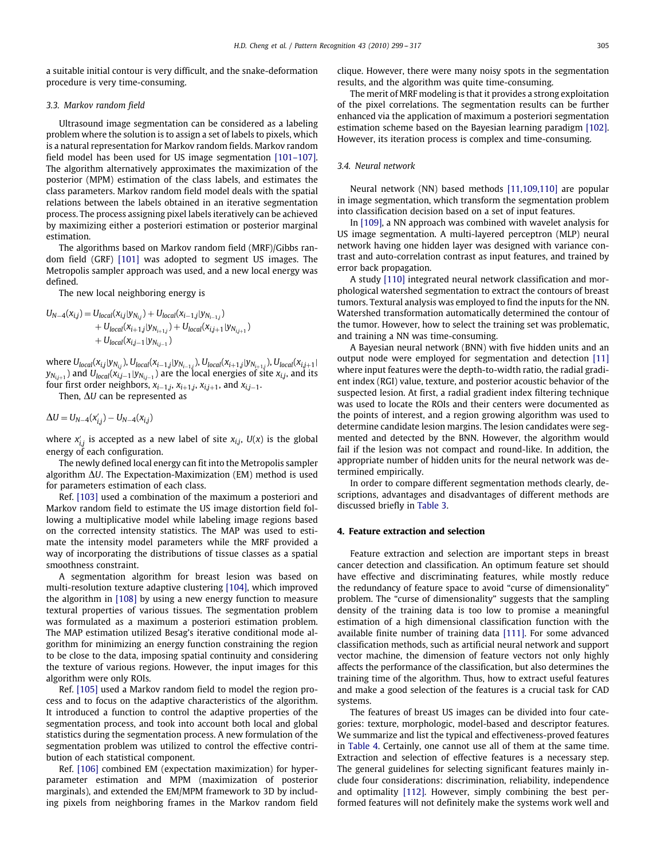a suitable initial contour is very difficult, and the snake-deformation procedure is very time-consuming.

# *3.3. Markov random field*

Ultrasound image segmentation can be considered as a labeling problem where the solution is to assign a set of labels to pixels, which is a natural representation for Markov random fields. Markov random field model has been used for US image segmentation [101–107]. The algorithm alternatively approximates the maximization of the posterior (MPM) estimation of the class labels, and estimates the class parameters. Markov random field model deals with the spatial relations between the labels obtained in an iterative segmentation process. The process assigning pixel labels iteratively can be achieved by maximizing either a posteriori estimation or posterior marginal estimation.

The algorithms based on Markov random field (MRF)/Gibbs random field (GRF) [\[101\]](#page-16-32) was adopted to segment US images. The Metropolis sampler approach was used, and a new local energy was defined.

The new local neighboring energy is

$$
U_{N-4}(x_{i,j}) = U_{local}(x_{i,j}|y_{N_{i,j}}) + U_{local}(x_{i-1,j}|y_{N_{i-1,j}}) + U_{local}(x_{i+1,j}|y_{N_{i+1,j}}) + U_{local}(x_{i,j+1}|y_{N_{i,j+1}}) + U_{local}(x_{i,j-1}|y_{N_{i,j-1}})
$$

 $w$ here  $U_{local}(x_{i,j}|y_{N_{i,j}}),$   $U_{local}(x_{i-1,j}|y_{N_{i-1,j}}),$   $U_{local}(x_{i+1,j}|y_{N_{i+1,j}}),$   $U_{local}(x_{i,j+1}|y_{N_{i-1,j}})$ *yNi*,*j*+<sup>1</sup> ) and *Ulocal*(*xi*,*j*−1|*yNi*,*j*−<sup>1</sup> ) are the local energies of site *xi*,*j*, and its four first order neighbors, *xi*<sup>−</sup>1,*j*, *xi*<sup>+</sup>1,*j*, *xi*,*j*<sup>+</sup>1, and *xi*,*j*<sup>−</sup>1.

Then,  $\Delta U$  can be represented as

 $\Delta U = U_{N-4}(x'_{i,j}) - U_{N-4}(x_{i,j})$ 

where  $x'_{i,j}$  is accepted as a new label of site  $x_{i,j}$ ,  $U(x)$  is the global energy of each configuration.

The newly defined local energy can fit into the Metropolis sampler algorithm  $\Delta U$ . The Expectation-Maximization (EM) method is used for parameters estimation of each class.

Ref. [\[103\]](#page-17-3) used a combination of the maximum a posteriori and Markov random field to estimate the US image distortion field following a multiplicative model while labeling image regions based on the corrected intensity statistics. The MAP was used to estimate the intensity model parameters while the MRF provided a way of incorporating the distributions of tissue classes as a spatial smoothness constraint.

A segmentation algorithm for breast lesion was based on multi-resolution texture adaptive clustering [\[104\],](#page-17-4) which improved the algorithm in [\[108\]](#page-17-5) by using a new energy function to measure textural properties of various tissues. The segmentation problem was formulated as a maximum a posteriori estimation problem. The MAP estimation utilized Besag's iterative conditional mode algorithm for minimizing an energy function constraining the region to be close to the data, imposing spatial continuity and considering the texture of various regions. However, the input images for this algorithm were only ROIs.

Ref. [\[105\]](#page-17-6) used a Markov random field to model the region process and to focus on the adaptive characteristics of the algorithm. It introduced a function to control the adaptive properties of the segmentation process, and took into account both local and global statistics during the segmentation process. A new formulation of the segmentation problem was utilized to control the effective contribution of each statistical component.

Ref. [\[106\]](#page-17-7) combined EM (expectation maximization) for hyperparameter estimation and MPM (maximization of posterior marginals), and extended the EM/MPM framework to 3D by including pixels from neighboring frames in the Markov random field clique. However, there were many noisy spots in the segmentation results, and the algorithm was quite time-consuming.

The merit of MRF modeling is that it provides a strong exploitation of the pixel correlations. The segmentation results can be further enhanced via the application of maximum a posteriori segmentation estimation scheme based on the Bayesian learning paradigm [\[102\].](#page-17-8) However, its iteration process is complex and time-consuming.

# *3.4. Neural network*

Neural network (NN) based methods [11,109,110] are popular in image segmentation, which transform the segmentation problem into classification decision based on a set of input features.

In [\[109\],](#page-17-9) a NN approach was combined with wavelet analysis for US image segmentation. A multi-layered perceptron (MLP) neural network having one hidden layer was designed with variance contrast and auto-correlation contrast as input features, and trained by error back propagation.

A study [\[110\]](#page-17-10) integrated neural network classification and morphological watershed segmentation to extract the contours of breast tumors. Textural analysis was employed to find the inputs for the NN. Watershed transformation automatically determined the contour of the tumor. However, how to select the training set was problematic, and training a NN was time-consuming.

A Bayesian neural network (BNN) with five hidden units and an output node were employed for segmentation and detection [\[11\]](#page-15-4) where input features were the depth-to-width ratio, the radial gradient index (RGI) value, texture, and posterior acoustic behavior of the suspected lesion. At first, a radial gradient index filtering technique was used to locate the ROIs and their centers were documented as the points of interest, and a region growing algorithm was used to determine candidate lesion margins. The lesion candidates were segmented and detected by the BNN. However, the algorithm would fail if the lesion was not compact and round-like. In addition, the appropriate number of hidden units for the neural network was determined empirically.

In order to compare different segmentation methods clearly, descriptions, advantages and disadvantages of different methods are discussed briefly in [Table 3.](#page-7-0)

### **4. Feature extraction and selection**

Feature extraction and selection are important steps in breast cancer detection and classification. An optimum feature set should have effective and discriminating features, while mostly reduce the redundancy of feature space to avoid "curse of dimensionality" problem. The "curse of dimensionality" suggests that the sampling density of the training data is too low to promise a meaningful estimation of a high dimensional classification function with the available finite number of training data [\[111\].](#page-17-11) For some advanced classification methods, such as artificial neural network and support vector machine, the dimension of feature vectors not only highly affects the performance of the classification, but also determines the training time of the algorithm. Thus, how to extract useful features and make a good selection of the features is a crucial task for CAD systems.

The features of breast US images can be divided into four categories: texture, morphologic, model-based and descriptor features. We summarize and list the typical and effectiveness-proved features in [Table 4.](#page-8-0) Certainly, one cannot use all of them at the same time. Extraction and selection of effective features is a necessary step. The general guidelines for selecting significant features mainly include four considerations: discrimination, reliability, independence and optimality [\[112\].](#page-17-12) However, simply combining the best performed features will not definitely make the systems work well and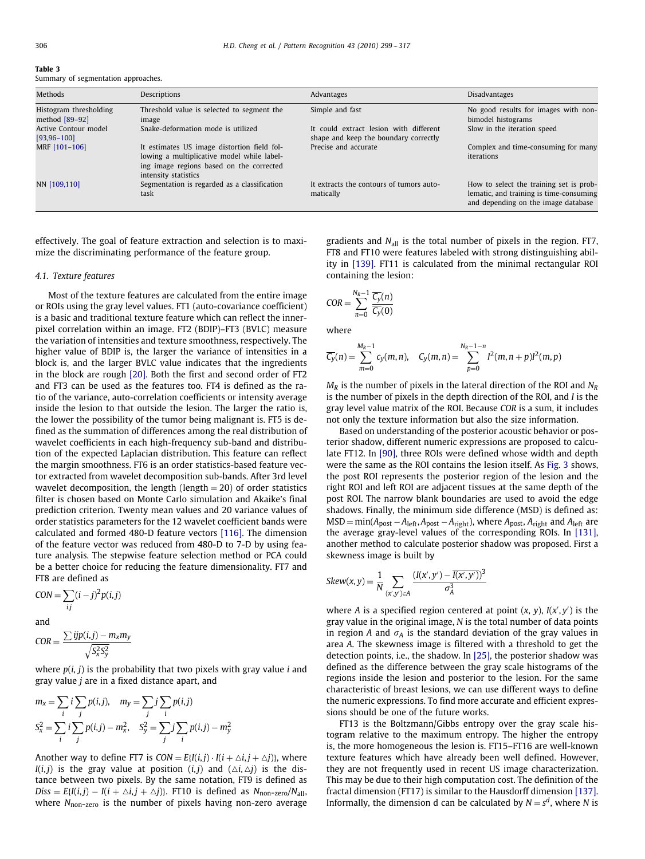**Table 3** Summary of segmentation approaches.

<span id="page-7-0"></span>

| Methods                                  | Descriptions                                                                                                                                                  | Advantages                                                                      | <b>Disadvantages</b>                                                                                                      |
|------------------------------------------|---------------------------------------------------------------------------------------------------------------------------------------------------------------|---------------------------------------------------------------------------------|---------------------------------------------------------------------------------------------------------------------------|
| Histogram thresholding<br>method [89–92] | Threshold value is selected to segment the<br>image                                                                                                           | Simple and fast                                                                 | No good results for images with non-<br>bimodel histograms                                                                |
| Active Contour model<br>$[93, 96 - 100]$ | Snake-deformation mode is utilized                                                                                                                            | It could extract lesion with different<br>shape and keep the boundary correctly | Slow in the iteration speed                                                                                               |
| MRF [101-106]                            | It estimates US image distortion field fol-<br>lowing a multiplicative model while label-<br>ing image regions based on the corrected<br>intensity statistics | Precise and accurate                                                            | Complex and time-consuming for many<br>iterations                                                                         |
| NN [109,110]                             | Segmentation is regarded as a classification<br>task                                                                                                          | It extracts the contours of tumors auto-<br>matically                           | How to select the training set is prob-<br>lematic, and training is time-consuming<br>and depending on the image database |

effectively. The goal of feature extraction and selection is to maximize the discriminating performance of the feature group.

#### *4.1. Texture features*

Most of the texture features are calculated from the entire image or ROIs using the gray level values. FT1 (auto-covariance coefficient) is a basic and traditional texture feature which can reflect the innerpixel correlation within an image. FT2 (BDIP)–FT3 (BVLC) measure the variation of intensities and texture smoothness, respectively. The higher value of BDIP is, the larger the variance of intensities in a block is, and the larger BVLC value indicates that the ingredients in the block are rough [\[20\].](#page-15-23) Both the first and second order of FT2 and FT3 can be used as the features too. FT4 is defined as the ratio of the variance, auto-correlation coefficients or intensity average inside the lesion to that outside the lesion. The larger the ratio is, the lower the possibility of the tumor being malignant is. FT5 is defined as the summation of differences among the real distribution of wavelet coefficients in each high-frequency sub-band and distribution of the expected Laplacian distribution. This feature can reflect the margin smoothness. FT6 is an order statistics-based feature vector extracted from wavelet decomposition sub-bands. After 3rd level wavelet decomposition, the length (length  $= 20$ ) of order statistics filter is chosen based on Monte Carlo simulation and Akaike's final prediction criterion. Twenty mean values and 20 variance values of order statistics parameters for the 12 wavelet coefficient bands were calculated and formed 480-D feature vectors [\[116\].](#page-17-13) The dimension of the feature vector was reduced from 480-D to 7-D by using feature analysis. The stepwise feature selection method or PCA could be a better choice for reducing the feature dimensionality. FT7 and FT8 are defined as

$$
CON = \sum_{i,j} (i-j)^2 p(i,j)
$$

and

$$
COR = \frac{\sum ijp(i,j) - m_xm_y}{\sqrt{S_x^2S_y^2}}
$$

where  $p(i, j)$  is the probability that two pixels with gray value  $i$  and gray value *j* are in a fixed distance apart, and

$$
m_x = \sum_i i \sum_j p(i,j), \quad m_y = \sum_j j \sum_i p(i,j)
$$
  

$$
S_x^2 = \sum_i i \sum_j p(i,j) - m_x^2, \quad S_y^2 = \sum_j j \sum_i p(i,j) - m_y^2
$$

Another way to define FT7 is  $CON = E{I(i,j) \cdot I(i + \Delta i, j + \Delta j)}$ , where *I*(*i*,*j*) is the gray value at position (*i*,*j*) and ( $\triangle i$ ,  $\triangle j$ ) is the distance between two pixels. By the same notation, FT9 is defined as  $Diss = E{I(i,j) - I(i + \Delta i, j + \Delta j)}$ . FT10 is defined as  $N_{\text{non-zero}}/N_{\text{all}}$ , where *N*non-zero is the number of pixels having non-zero average

gradients and *N*<sub>all</sub> is the total number of pixels in the region. FT7, FT8 and FT10 were features labeled with strong distinguishing ability in [\[139\].](#page-17-14) FT11 is calculated from the minimal rectangular ROI containing the lesion:

$$
COR = \sum_{n=0}^{N_R-1} \frac{\overline{C_y}(n)}{\overline{C_y}(0)}
$$

where

$$
\overline{C_y}(n) = \sum_{m=0}^{M_R-1} c_y(m,n), \quad C_y(m,n) = \sum_{p=0}^{N_R-1-n} I^2(m,n+p)I^2(m,p)
$$

*MR* is the number of pixels in the lateral direction of the ROI and *NR* is the number of pixels in the depth direction of the ROI, and *I* is the gray level value matrix of the ROI. Because *COR* is a sum, it includes not only the texture information but also the size information.

Based on understanding of the posterior acoustic behavior or posterior shadow, different numeric expressions are proposed to calculate FT12. In [\[90\],](#page-16-33) three ROIs were defined whose width and depth were the same as the ROI contains the lesion itself. As [Fig. 3](#page-9-0) shows, the post ROI represents the posterior region of the lesion and the right ROI and left ROI are adjacent tissues at the same depth of the post ROI. The narrow blank boundaries are used to avoid the edge shadows. Finally, the minimum side difference (MSD) is defined as: MSD = min(*A*post − *A*left, *A*post − *A*right), where *A*post, *A*right and *A*left are the average gray-level values of the corresponding ROIs. In [\[131\],](#page-17-15) another method to calculate posterior shadow was proposed. First a skewness image is built by

$$
Skew(x, y) = \frac{1}{N} \sum_{(x', y') \in A} \frac{(I(x', y') - \overline{I(x', y')})^3}{\sigma_A^3}
$$

where *A* is a specified region centered at point  $(x, y)$ ,  $I(x', y')$  is the gray value in the original image, *N* is the total number of data points in region  $A$  and  $\sigma_A$  is the standard deviation of the gray values in area *A*. The skewness image is filtered with a threshold to get the detection points, i.e., the shadow. In [\[25\],](#page-15-24) the posterior shadow was defined as the difference between the gray scale histograms of the regions inside the lesion and posterior to the lesion. For the same characteristic of breast lesions, we can use different ways to define the numeric expressions. To find more accurate and efficient expressions should be one of the future works.

FT13 is the Boltzmann/Gibbs entropy over the gray scale histogram relative to the maximum entropy. The higher the entropy is, the more homogeneous the lesion is. FT15–FT16 are well-known texture features which have already been well defined. However, they are not frequently used in recent US image characterization. This may be due to their high computation cost. The definition of the fractal dimension (FT17) is similar to the Hausdorff dimension [\[137\].](#page-17-16) Informally, the dimension d can be calculated by  $N = s<sup>d</sup>$ , where *N* is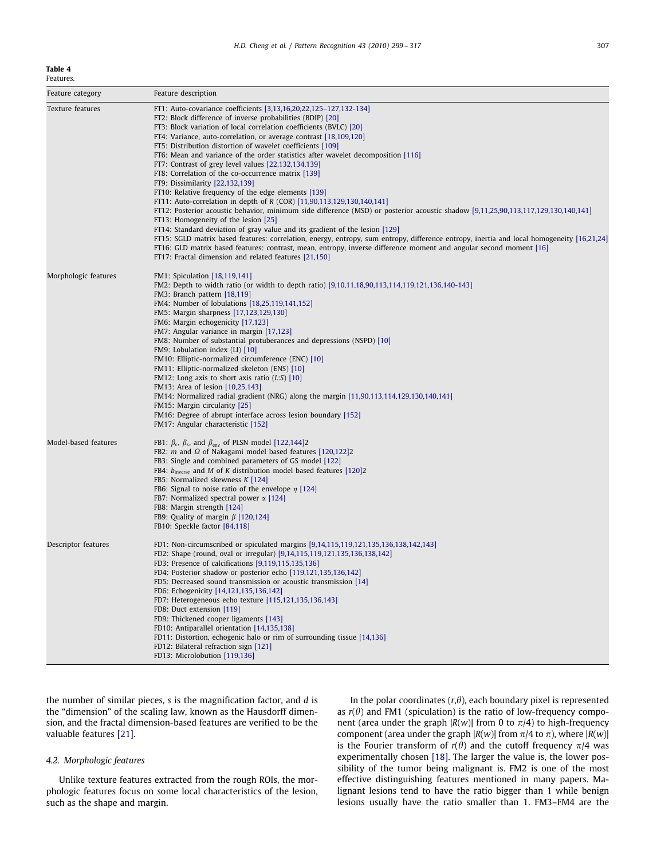**Table 4**

<span id="page-8-0"></span>

| Features.            |                                                                                                                                                                                                                                                                                                                                                                                                                                                                                                                                                                                                                                                                                                                                                                                                                                                                                                                                                                                                                                                                                                                                                                                                                                                                                                        |
|----------------------|--------------------------------------------------------------------------------------------------------------------------------------------------------------------------------------------------------------------------------------------------------------------------------------------------------------------------------------------------------------------------------------------------------------------------------------------------------------------------------------------------------------------------------------------------------------------------------------------------------------------------------------------------------------------------------------------------------------------------------------------------------------------------------------------------------------------------------------------------------------------------------------------------------------------------------------------------------------------------------------------------------------------------------------------------------------------------------------------------------------------------------------------------------------------------------------------------------------------------------------------------------------------------------------------------------|
| Feature category     | Feature description                                                                                                                                                                                                                                                                                                                                                                                                                                                                                                                                                                                                                                                                                                                                                                                                                                                                                                                                                                                                                                                                                                                                                                                                                                                                                    |
| Texture features     | FT1: Auto-covariance coefficients [3,13,16,20,22,125–127,132-134]<br>FT2: Block difference of inverse probabilities (BDIP) [20]<br>FT3: Block variation of local correlation coefficients (BVLC) [20]<br>FT4: Variance, auto-correlation, or average contrast [18,109,120]<br>FT5: Distribution distortion of wavelet coefficients [109]<br>FT6: Mean and variance of the order statistics after wavelet decomposition [116]<br>FT7: Contrast of grey level values [22,132,134,139]<br>FT8: Correlation of the co-occurrence matrix [139]<br>FT9: Dissimilarity [22,132,139]<br>FT10: Relative frequency of the edge elements [139]<br>FT11: Auto-correlation in depth of R (COR) [11,90,113,129,130,140,141]<br>FT12: Posterior acoustic behavior, minimum side difference (MSD) or posterior acoustic shadow [9,11,25,90,113,117,129,130,140,141]<br>FT13: Homogeneity of the lesion [25]<br>FT14: Standard deviation of gray value and its gradient of the lesion [129]<br>FT15: SGLD matrix based features: correlation, energy, entropy, sum entropy, difference entropy, inertia and local homogeneity [16,21,24]<br>FT16: GLD matrix based features: contrast, mean, entropy, inverse difference moment and angular second moment [16]<br>FT17: Fractal dimension and related features [21,150] |
| Morphologic features | FM1: Spiculation [18,119,141]<br>FM2: Depth to width ratio (or width to depth ratio) [9,10,11,18,90,113,114,119,121,136,140-143]<br>FM3: Branch pattern [18,119]<br>FM4: Number of lobulations [18,25,119,141,152]<br>FM5: Margin sharpness [17,123,129,130]<br>FM6: Margin echogenicity [17,123]<br>FM7: Angular variance in margin [17,123]<br>FM8: Number of substantial protuberances and depressions (NSPD) [10]<br>FM9: Lobulation index (LI) [10]<br>FM10: Elliptic-normalized circumference (ENC) [10]<br>FM11: Elliptic-normalized skeleton (ENS) [10]<br>FM12: Long axis to short axis ratio $(L:S)$ [10]<br>FM13: Area of lesion [10,25,143]<br>FM14: Normalized radial gradient (NRG) along the margin $[11,90,113,114,129,130,140,141]$<br>FM15: Margin circularity [25]<br>FM16: Degree of abrupt interface across lesion boundary [152]<br>FM17: Angular characteristic [152]                                                                                                                                                                                                                                                                                                                                                                                                           |
| Model-based features | FB1: $\beta_c$ , $\beta_s$ , and $\beta_{env}$ of PLSN model [122,144]2<br>FB2: m and $\Omega$ of Nakagami model based features [120,122]2<br>FB3: Single and combined parameters of GS model [122]<br>FB4: $b_{\text{inverse}}$ and M of K distribution model based features [120]2<br>FB5: Normalized skewness K [124]<br>FB6: Signal to noise ratio of the envelope $\eta$ [124]<br>FB7: Normalized spectral power $\alpha$ [124]<br>FB8: Margin strength [124]<br>FB9: Quality of margin $\beta$ [120,124]<br>FB10: Speckle factor [84,118]                                                                                                                                                                                                                                                                                                                                                                                                                                                                                                                                                                                                                                                                                                                                                        |
| Descriptor features  | FD1: Non-circumscribed or spiculated margins [9,14,115,119,121,135,136,138,142,143]<br>FD2: Shape (round, oval or irregular) [9,14,115,119,121,135,136,138,142]<br>FD3: Presence of calcifications [9,119,115,135,136]<br>FD4: Posterior shadow or posterior echo [119,121,135,136,142]<br>FD5: Decreased sound transmission or acoustic transmission [14]<br>FD6: Echogenicity [14,121,135,136,142]<br>FD7: Heterogeneous echo texture [115,121,135,136,143]<br>FD8: Duct extension [119]<br>FD9: Thickened cooper ligaments [143]<br>FD10: Antiparallel orientation [14,135,138]<br>FD11: Distortion, echogenic halo or rim of surrounding tissue [14,136]<br>FD12: Bilateral refraction sign [121]<br>FD13: Microlobution [119,136]                                                                                                                                                                                                                                                                                                                                                                                                                                                                                                                                                                 |

the number of similar pieces, *s* is the magnification factor, and *d* is the "dimension" of the scaling law, known as the Hausdorff dimension, and the fractal dimension-based features are verified to be the valuable features [\[21\].](#page-15-27)

# *4.2. Morphologic features*

Unlike texture features extracted from the rough ROIs, the morphologic features focus on some local characteristics of the lesion, such as the shape and margin.

In the polar coordinates  $(r,\theta)$ , each boundary pixel is represented as  $r(\theta)$  and FM1 (spiculation) is the ratio of low-frequency component (area under the graph  $|R(w)|$  from 0 to  $\pi/4$ ) to high-frequency component (area under the graph  $|R(w)|$  from  $\pi/4$  to  $\pi$ ), where  $|R(w)|$ is the Fourier transform of  $r(\theta)$  and the cutoff frequency  $\pi/4$  was experimentally chosen [\[18\].](#page-15-28) The larger the value is, the lower possibility of the tumor being malignant is. FM2 is one of the most effective distinguishing features mentioned in many papers. Malignant lesions tend to have the ratio bigger than 1 while benign lesions usually have the ratio smaller than 1. FM3–FM4 are the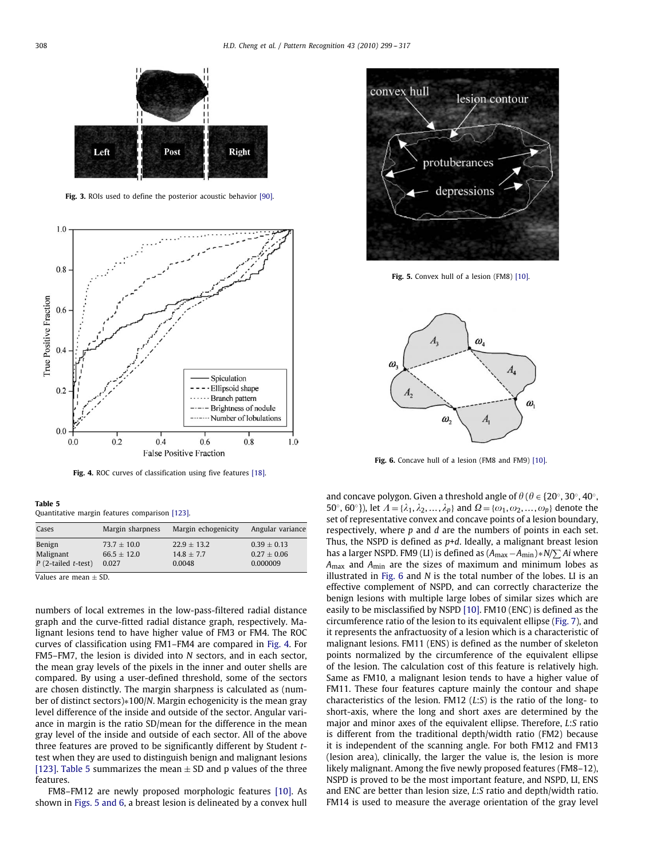

**Fig. 3.** ROIs used to define the posterior acoustic behavior [\[90\].](#page-16-33)



<span id="page-9-2"></span>**Fig. 4.** ROC curves of classification using five features [\[18\].](#page-15-28)

**Table 5**

Quantitative margin features comparison [\[123\].](#page-17-25)

| Margin sharpness<br>Cases                                                                   | Margin echogenicity                         | Angular variance                               |
|---------------------------------------------------------------------------------------------|---------------------------------------------|------------------------------------------------|
| $73.7 \pm 10.0$<br>Benign<br>Malignant<br>$66.5 \pm 12.0$<br>$P$ (2-tailed t-test)<br>0.027 | $22.9 \pm 13.2$<br>$14.8 \pm 7.7$<br>0.0048 | $0.39 \pm 0.13$<br>$0.27 \pm 0.06$<br>0.000009 |

Values are mean  $\pm$  SD.

numbers of local extremes in the low-pass-filtered radial distance graph and the curve-fitted radial distance graph, respectively. Malignant lesions tend to have higher value of FM3 or FM4. The ROC curves of classification using FM1–FM4 are compared in [Fig. 4.](#page-9-1) For FM5–FM7, the lesion is divided into *N* sectors, and in each sector, the mean gray levels of the pixels in the inner and outer shells are compared. By using a user-defined threshold, some of the sectors are chosen distinctly. The margin sharpness is calculated as (number of distinct sectors)∗100/*N*. Margin echogenicity is the mean gray level difference of the inside and outside of the sector. Angular variance in margin is the ratio SD/mean for the difference in the mean gray level of the inside and outside of each sector. All of the above three features are proved to be significantly different by Student *t*test when they are used to distinguish benign and malignant lesions [\[123\].](#page-17-25) [Table 5](#page-9-2) summarizes the mean  $\pm$  SD and p values of the three features.

FM8–FM12 are newly proposed morphologic features [\[10\].](#page-15-6) As shown in Figs. 5 and 6, a breast lesion is delineated by a convex hull



<span id="page-9-0"></span>Fig. 5. Convex hull of a lesion (FM8) [\[10\].](#page-15-6)



<span id="page-9-3"></span>Fig. 6. Concave hull of a lesion (FM8 and FM9) [\[10\].](#page-15-6)

<span id="page-9-1"></span>and concave polygon. Given a threshold angle of  $\theta$  ( $\theta \in \{20^\circ, 30^\circ, 40^\circ,$ 50°, 60°}), let  $\Lambda = {\lambda_1, \lambda_2, ..., \lambda_p}$  and  $\Omega = {\omega_1, \omega_2, ..., \omega_p}$  denote the set of representative convex and concave points of a lesion boundary, respectively, where *p* and *d* are the numbers of points in each set. Thus, the NSPD is defined as *p*+*d*. Ideally, a malignant breast lesion has a larger NSPD. FM9 (LI) is defined as (*A*max−*A*min)∗*N/ Ai* where *A*max and *A*min are the sizes of maximum and minimum lobes as illustrated in [Fig. 6](#page-9-3) and *N* is the total number of the lobes. LI is an effective complement of NSPD, and can correctly characterize the benign lesions with multiple large lobes of similar sizes which are easily to be misclassified by NSPD [\[10\].](#page-15-6) FM10 (ENC) is defined as the circumference ratio of the lesion to its equivalent ellipse [\(Fig. 7\)](#page-10-0), and it represents the anfractuosity of a lesion which is a characteristic of malignant lesions. FM11 (ENS) is defined as the number of skeleton points normalized by the circumference of the equivalent ellipse of the lesion. The calculation cost of this feature is relatively high. Same as FM10, a malignant lesion tends to have a higher value of FM11. These four features capture mainly the contour and shape characteristics of the lesion. FM12 (*L*:*S*) is the ratio of the long- to short-axis, where the long and short axes are determined by the major and minor axes of the equivalent ellipse. Therefore, *L*:*S* ratio is different from the traditional depth/width ratio (FM2) because it is independent of the scanning angle. For both FM12 and FM13 (lesion area), clinically, the larger the value is, the lesion is more likely malignant. Among the five newly proposed features (FM8–12), NSPD is proved to be the most important feature, and NSPD, LI, ENS and ENC are better than lesion size, *L*:*S* ratio and depth/width ratio. FM14 is used to measure the average orientation of the gray level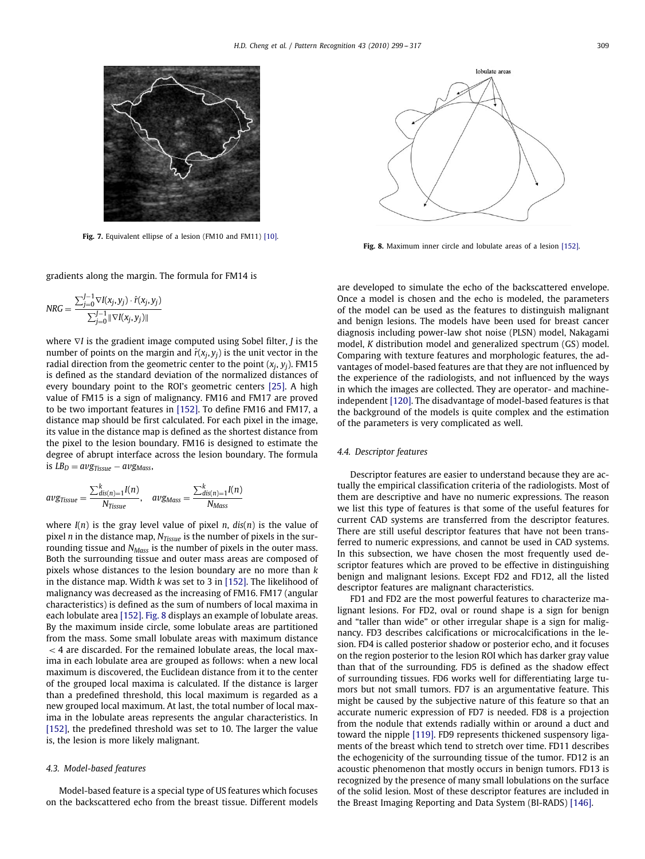

**Fig. 7.** Equivalent ellipse of a lesion (FM10 and FM11) [\[10\].](#page-15-6)

gradients along the margin. The formula for FM14 is

$$
NRG = \frac{\sum_{j=0}^{J-1} \nabla I(x_j, y_j) \cdot \hat{r}(x_j, y_j)}{\sum_{j=0}^{J-1} ||\nabla I(x_j, y_j)||}
$$

where ∇*I* is the gradient image computed using Sobel filter, *J* is the number of points on the margin and  $\hat{r}(x_j, y_j)$  is the unit vector in the radial direction from the geometric center to the point  $(x_i, y_j)$ . FM15 is defined as the standard deviation of the normalized distances of every boundary point to the ROI's geometric centers [\[25\].](#page-15-24) A high value of FM15 is a sign of malignancy. FM16 and FM17 are proved to be two important features in [\[152\].](#page-17-18) To define FM16 and FM17, a distance map should be first calculated. For each pixel in the image, its value in the distance map is defined as the shortest distance from the pixel to the lesion boundary. FM16 is designed to estimate the degree of abrupt interface across the lesion boundary. The formula is  $LB_D = avg_{Tissue} - avg_{Mass}$ 

$$
avg_{Tissue} = \frac{\sum_{dis(n)=1}^{k} I(n)}{N_{Tissue}}, \quad avg_{Mass} = \frac{\sum_{dis(n)=1}^{k} I(n)}{N_{Mass}}
$$

where  $I(n)$  is the gray level value of pixel *n*,  $dis(n)$  is the value of pixel *n* in the distance map,  $N_{Tissue}$  is the number of pixels in the surrounding tissue and *N<sub>Mass</sub>* is the number of pixels in the outer mass. Both the surrounding tissue and outer mass areas are composed of pixels whose distances to the lesion boundary are no more than *k* in the distance map. Width *k* was set to 3 in [\[152\].](#page-17-18) The likelihood of malignancy was decreased as the increasing of FM16. FM17 (angular characteristics) is defined as the sum of numbers of local maxima in each lobulate area [\[152\].](#page-17-18) [Fig. 8](#page-10-1) displays an example of lobulate areas. By the maximum inside circle, some lobulate areas are partitioned from the mass. Some small lobulate areas with maximum distance *<* 4 are discarded. For the remained lobulate areas, the local maxima in each lobulate area are grouped as follows: when a new local maximum is discovered, the Euclidean distance from it to the center of the grouped local maxima is calculated. If the distance is larger than a predefined threshold, this local maximum is regarded as a new grouped local maximum. At last, the total number of local maxima in the lobulate areas represents the angular characteristics. In [\[152\],](#page-17-18) the predefined threshold was set to 10. The larger the value is, the lesion is more likely malignant.

# *4.3. Model-based features*

Model-based feature is a special type of US features which focuses on the backscattered echo from the breast tissue. Different models



<span id="page-10-1"></span>**Fig. 8.** Maximum inner circle and lobulate areas of a lesion [\[152\].](#page-17-18)

<span id="page-10-0"></span>are developed to simulate the echo of the backscattered envelope. Once a model is chosen and the echo is modeled, the parameters of the model can be used as the features to distinguish malignant and benign lesions. The models have been used for breast cancer diagnosis including power-law shot noise (PLSN) model, Nakagami model, *K* distribution model and generalized spectrum (GS) model. Comparing with texture features and morphologic features, the advantages of model-based features are that they are not influenced by the experience of the radiologists, and not influenced by the ways in which the images are collected. They are operator- and machineindependent [\[120\].](#page-17-20) The disadvantage of model-based features is that the background of the models is quite complex and the estimation of the parameters is very complicated as well.

# *4.4. Descriptor features*

Descriptor features are easier to understand because they are actually the empirical classification criteria of the radiologists. Most of them are descriptive and have no numeric expressions. The reason we list this type of features is that some of the useful features for current CAD systems are transferred from the descriptor features. There are still useful descriptor features that have not been transferred to numeric expressions, and cannot be used in CAD systems. In this subsection, we have chosen the most frequently used descriptor features which are proved to be effective in distinguishing benign and malignant lesions. Except FD2 and FD12, all the listed descriptor features are malignant characteristics.

FD1 and FD2 are the most powerful features to characterize malignant lesions. For FD2, oval or round shape is a sign for benign and "taller than wide" or other irregular shape is a sign for malignancy. FD3 describes calcifications or microcalcifications in the lesion. FD4 is called posterior shadow or posterior echo, and it focuses on the region posterior to the lesion ROI which has darker gray value than that of the surrounding. FD5 is defined as the shadow effect of surrounding tissues. FD6 works well for differentiating large tumors but not small tumors. FD7 is an argumentative feature. This might be caused by the subjective nature of this feature so that an accurate numeric expression of FD7 is needed. FD8 is a projection from the nodule that extends radially within or around a duct and toward the nipple [\[119\].](#page-17-22) FD9 represents thickened suspensory ligaments of the breast which tend to stretch over time. FD11 describes the echogenicity of the surrounding tissue of the tumor. FD12 is an acoustic phenomenon that mostly occurs in benign tumors. FD13 is recognized by the presence of many small lobulations on the surface of the solid lesion. Most of these descriptor features are included in the Breast Imaging Reporting and Data System (BI-RADS) [\[146\].](#page-17-26)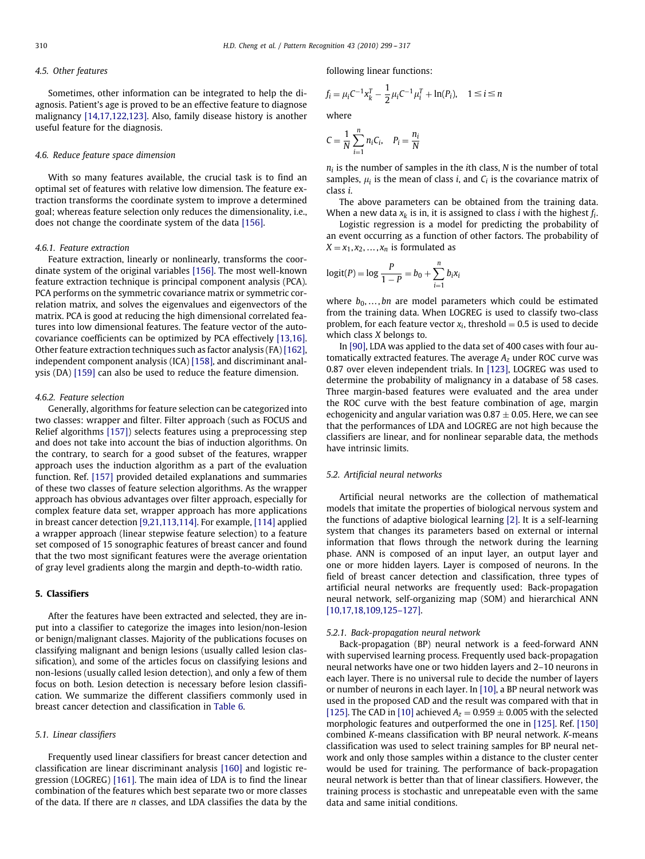# *4.5. Other features*

Sometimes, other information can be integrated to help the diagnosis. Patient's age is proved to be an effective feature to diagnose malignancy [14,17,122,123]. Also, family disease history is another useful feature for the diagnosis.

#### *4.6. Reduce feature space dimension*

With so many features available, the crucial task is to find an optimal set of features with relative low dimension. The feature extraction transforms the coordinate system to improve a determined goal; whereas feature selection only reduces the dimensionality, i.e., does not change the coordinate system of the data [\[156\].](#page-17-27)

# *4.6.1. Feature extraction*

Feature extraction, linearly or nonlinearly, transforms the coordinate system of the original variables [\[156\].](#page-17-27) The most well-known feature extraction technique is principal component analysis (PCA). PCA performs on the symmetric covariance matrix or symmetric correlation matrix, and solves the eigenvalues and eigenvectors of the matrix. PCA is good at reducing the high dimensional correlated features into low dimensional features. The feature vector of the autocovariance coefficients can be optimized by PCA effectively [13,16]. Other feature extraction techniques such as factor analysis (FA) [\[162\],](#page-18-0) independent component analysis (ICA) [\[158\],](#page-17-28) and discriminant analysis (DA) [\[159\]](#page-18-1) can also be used to reduce the feature dimension.

### *4.6.2. Feature selection*

Generally, algorithms for feature selection can be categorized into two classes: wrapper and filter. Filter approach (such as FOCUS and Relief algorithms [\[157\]\)](#page-17-29) selects features using a preprocessing step and does not take into account the bias of induction algorithms. On the contrary, to search for a good subset of the features, wrapper approach uses the induction algorithm as a part of the evaluation function. Ref. [\[157\]](#page-17-29) provided detailed explanations and summaries of these two classes of feature selection algorithms. As the wrapper approach has obvious advantages over filter approach, especially for complex feature data set, wrapper approach has more applications in breast cancer detection [9,21,113,114]. For example, [\[114\]](#page-17-30) applied a wrapper approach (linear stepwise feature selection) to a feature set composed of 15 sonographic features of breast cancer and found that the two most significant features were the average orientation of gray level gradients along the margin and depth-to-width ratio.

# **5. Classifiers**

After the features have been extracted and selected, they are input into a classifier to categorize the images into lesion/non-lesion or benign/malignant classes. Majority of the publications focuses on classifying malignant and benign lesions (usually called lesion classification), and some of the articles focus on classifying lesions and non-lesions (usually called lesion detection), and only a few of them focus on both. Lesion detection is necessary before lesion classification. We summarize the different classifiers commonly used in breast cancer detection and classification in [Table 6.](#page-12-0)

#### *5.1. Linear classifiers*

Frequently used linear classifiers for breast cancer detection and classification are linear discriminant analysis [\[160\]](#page-18-2) and logistic regression (LOGREG) [\[161\].](#page-18-3) The main idea of LDA is to find the linear combination of the features which best separate two or more classes of the data. If there are *n* classes, and LDA classifies the data by the

following linear functions:

$$
f_i = \mu_i C^{-1} x_k^T - \frac{1}{2} \mu_i C^{-1} \mu_i^T + \ln(P_i), \quad 1 \le i \le n
$$

where

$$
C = \frac{1}{N} \sum_{i=1}^{n} n_i C_i, \quad P_i = \frac{n_i}{N}
$$

*ni* is the number of samples in the *i*th class, *N* is the number of total samples,  $\mu_i$  is the mean of class *i*, and  $C_i$  is the covariance matrix of class *i*.

The above parameters can be obtained from the training data. When a new data  $x_k$  is in, it is assigned to class *i* with the highest  $f_i$ .

Logistic regression is a model for predicting the probability of an event occurring as a function of other factors. The probability of  $X = x_1, x_2, \ldots, x_n$  is formulated as

$$
logit(P) = log \frac{P}{1-P} = b_0 + \sum_{i=1}^{n} b_i x_i
$$

where  $b_0$ , ..., *bn* are model parameters which could be estimated from the training data. When LOGREG is used to classify two-class problem, for each feature vector  $x_i$ , threshold = 0.5 is used to decide which class *X* belongs to.

In [\[90\],](#page-16-33) LDA was applied to the data set of 400 cases with four automatically extracted features. The average *Az* under ROC curve was 0.87 over eleven independent trials. In [\[123\],](#page-17-25) LOGREG was used to determine the probability of malignancy in a database of 58 cases. Three margin-based features were evaluated and the area under the ROC curve with the best feature combination of age, margin echogenicity and angular variation was  $0.87 \pm 0.05$ . Here, we can see that the performances of LDA and LOGREG are not high because the classifiers are linear, and for nonlinear separable data, the methods have intrinsic limits.

# *5.2. Artificial neural networks*

Artificial neural networks are the collection of mathematical models that imitate the properties of biological nervous system and the functions of adaptive biological learning [\[2\].](#page-15-1) It is a self-learning system that changes its parameters based on external or internal information that flows through the network during the learning phase. ANN is composed of an input layer, an output layer and one or more hidden layers. Layer is composed of neurons. In the field of breast cancer detection and classification, three types of artificial neural networks are frequently used: Back-propagation neural network, self-organizing map (SOM) and hierarchical ANN [10,17,18,109,125–127].

#### *5.2.1. Back-propagation neural network*

Back-propagation (BP) neural network is a feed-forward ANN with supervised learning process. Frequently used back-propagation neural networks have one or two hidden layers and 2–10 neurons in each layer. There is no universal rule to decide the number of layers or number of neurons in each layer. In [\[10\],](#page-15-6) a BP neural network was used in the proposed CAD and the result was compared with that in [\[125\].](#page-17-31) The CAD in [\[10\]](#page-15-6) achieved  $A_z = 0.959 \pm 0.005$  with the selected morphologic features and outperformed the one in [\[125\].](#page-17-31) Ref. [\[150\]](#page-17-32) combined *K*-means classification with BP neural network. *K*-means classification was used to select training samples for BP neural network and only those samples within a distance to the cluster center would be used for training. The performance of back-propagation neural network is better than that of linear classifiers. However, the training process is stochastic and unrepeatable even with the same data and same initial conditions.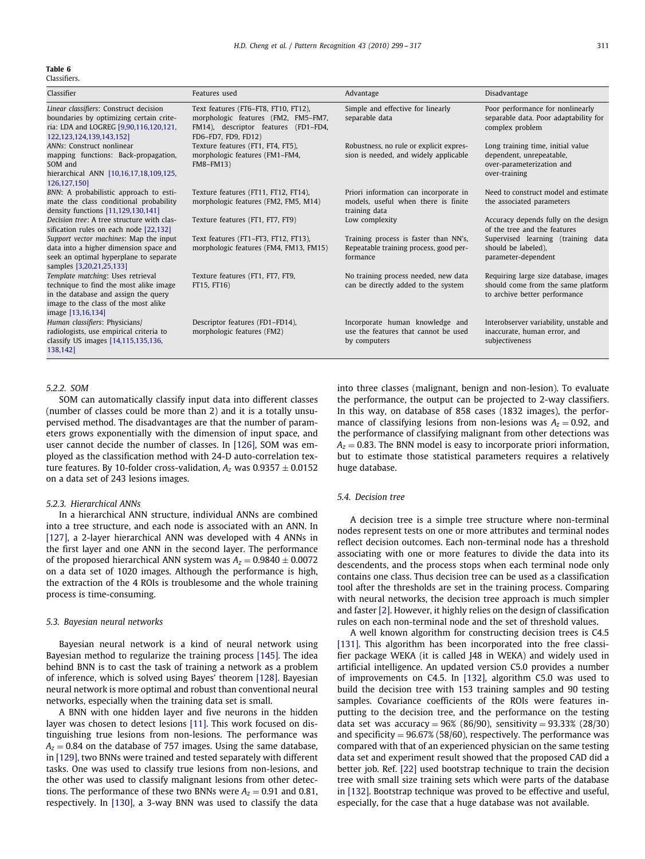#### **Table 6** Classifiers

<span id="page-12-0"></span>

| Classifier                                                                                                                                                                       | Features used                                                                                                                              | Advantage                                                                                     | Disadvantage                                                                                                 |
|----------------------------------------------------------------------------------------------------------------------------------------------------------------------------------|--------------------------------------------------------------------------------------------------------------------------------------------|-----------------------------------------------------------------------------------------------|--------------------------------------------------------------------------------------------------------------|
| Linear classifiers: Construct decision<br>boundaries by optimizing certain crite-<br>ria: LDA and LOGREG [9,90,116,120,121,<br>122,123,124,139,143,152]                          | Text features (FT6-FT8, FT10, FT12),<br>morphologic features (FM2, FM5-FM7,<br>FM14), descriptor features (FD1-FD4,<br>FD6-FD7, FD9, FD12) | Simple and effective for linearly<br>separable data                                           | Poor performance for nonlinearly<br>separable data. Poor adaptability for<br>complex problem                 |
| ANNs: Construct nonlinear<br>mapping functions: Back-propagation,<br>SOM and<br>hierarchical ANN [10,16,17,18,109,125,<br>126, 127, 150                                          | Texture features (FT1, FT4, FT5),<br>morphologic features (FM1-FM4,<br>FM8-FM13)                                                           | Robustness, no rule or explicit expres-<br>sion is needed, and widely applicable              | Long training time, initial value<br>dependent, unrepeatable,<br>over-parameterization and<br>over-training  |
| BNN: A probabilistic approach to esti-<br>mate the class conditional probability<br>density functions [11,129,130,141]                                                           | Texture features (FT11, FT12, FT14),<br>morphologic features (FM2, FM5, M14)                                                               | Priori information can incorporate in<br>models, useful when there is finite<br>training data | Need to construct model and estimate<br>the associated parameters                                            |
| Decision tree: A tree structure with clas-<br>sification rules on each node [22,132]                                                                                             | Texture features (FT1, FT7, FT9)                                                                                                           | Low complexity                                                                                | Accuracy depends fully on the design<br>of the tree and the features                                         |
| Support vector machines: Map the input<br>data into a higher dimension space and<br>seek an optimal hyperplane to separate<br>samples [3,20,21,25,133]                           | Text features (FT1-FT3, FT12, FT13),<br>morphologic features (FM4, FM13, FM15)                                                             | Training process is faster than NN's,<br>Repeatable training process, good per-<br>formance   | Supervised learning (training data<br>should be labeled),<br>parameter-dependent                             |
| Template matching: Uses retrieval<br>technique to find the most alike image<br>in the database and assign the query<br>image to the class of the most alike<br>image [13,16,134] | Texture features (FT1, FT7, FT9,<br>FT15, FT16)                                                                                            | No training process needed, new data<br>can be directly added to the system                   | Requiring large size database, images<br>should come from the same platform<br>to archive better performance |
| Human classifiers: Physicians/<br>radiologists, use empirical criteria to<br>classify US images [14,115,135,136,<br>138,1421                                                     | Descriptor features (FD1-FD14),<br>morphologic features (FM2)                                                                              | Incorporate human knowledge and<br>use the features that cannot be used<br>by computers       | Interobserver variability, unstable and<br>inaccurate, human error, and<br>subjectiveness                    |

# *5.2.2. SOM*

SOM can automatically classify input data into different classes (number of classes could be more than 2) and it is a totally unsupervised method. The disadvantages are that the number of parameters grows exponentially with the dimension of input space, and user cannot decide the number of classes. In [\[126\],](#page-17-33) SOM was employed as the classification method with 24-D auto-correlation texture features. By 10-folder cross-validation,  $A_z$  was  $0.9357 \pm 0.0152$ on a data set of 243 lesions images.

# *5.2.3. Hierarchical ANNs*

In a hierarchical ANN structure, individual ANNs are combined into a tree structure, and each node is associated with an ANN. In [\[127\],](#page-17-34) a 2-layer hierarchical ANN was developed with 4 ANNs in the first layer and one ANN in the second layer. The performance of the proposed hierarchical ANN system was  $A_z = 0.9840 \pm 0.0072$ on a data set of 1020 images. Although the performance is high, the extraction of the 4 ROIs is troublesome and the whole training process is time-consuming.

#### *5.3. Bayesian neural networks*

Bayesian neural network is a kind of neural network using Bayesian method to regularize the training process [\[145\].](#page-17-35) The idea behind BNN is to cast the task of training a network as a problem of inference, which is solved using Bayes' theorem [\[128\].](#page-17-36) Bayesian neural network is more optimal and robust than conventional neural networks, especially when the training data set is small.

A BNN with one hidden layer and five neurons in the hidden layer was chosen to detect lesions [\[11\].](#page-15-4) This work focused on distinguishing true lesions from non-lesions. The performance was  $A<sub>z</sub> = 0.84$  on the database of 757 images. Using the same database, in [\[129\],](#page-17-17) two BNNs were trained and tested separately with different tasks. One was used to classify true lesions from non-lesions, and the other was used to classify malignant lesions from other detections. The performance of these two BNNs were  $A_z = 0.91$  and 0.81, respectively. In [\[130\],](#page-17-37) a 3-way BNN was used to classify the data into three classes (malignant, benign and non-lesion). To evaluate the performance, the output can be projected to 2-way classifiers. In this way, on database of 858 cases (1832 images), the performance of classifying lesions from non-lesions was  $A_z = 0.92$ , and the performance of classifying malignant from other detections was  $A<sub>z</sub> = 0.83$ . The BNN model is easy to incorporate priori information, but to estimate those statistical parameters requires a relatively huge database.

# *5.4. Decision tree*

A decision tree is a simple tree structure where non-terminal nodes represent tests on one or more attributes and terminal nodes reflect decision outcomes. Each non-terminal node has a threshold associating with one or more features to divide the data into its descendents, and the process stops when each terminal node only contains one class. Thus decision tree can be used as a classification tool after the thresholds are set in the training process. Comparing with neural networks, the decision tree approach is much simpler and faster [\[2\].](#page-15-1) However, it highly relies on the design of classification rules on each non-terminal node and the set of threshold values.

A well known algorithm for constructing decision trees is C4.5 [\[131\].](#page-17-15) This algorithm has been incorporated into the free classifier package WEKA (it is called J48 in WEKA) and widely used in artificial intelligence. An updated version C5.0 provides a number of improvements on C4.5. In [\[132\],](#page-17-38) algorithm C5.0 was used to build the decision tree with 153 training samples and 90 testing samples. Covariance coefficients of the ROIs were features inputting to the decision tree, and the performance on the testing data set was accuracy =  $96%$  (86/90), sensitivity =  $93.33%$  (28/30) and specificity =  $96.67\%$  (58/60), respectively. The performance was compared with that of an experienced physician on the same testing data set and experiment result showed that the proposed CAD did a better job. Ref. [\[22\]](#page-15-10) used bootstrap technique to train the decision tree with small size training sets which were parts of the database in [\[132\].](#page-17-38) Bootstrap technique was proved to be effective and useful, especially, for the case that a huge database was not available.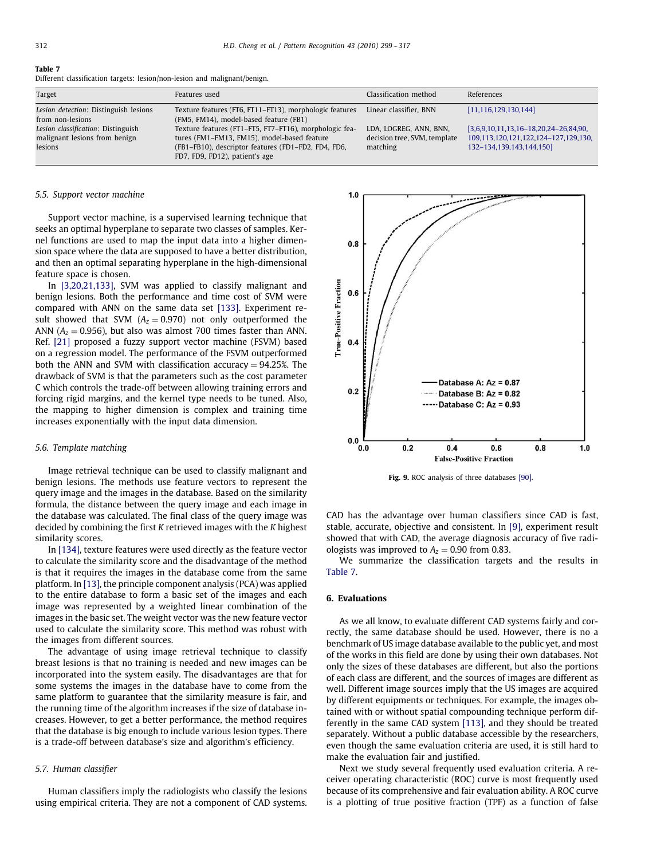#### **Table 7**

| Different classification targets: lesion/non-lesion and malignant/benign. |  |  |  |  |
|---------------------------------------------------------------------------|--|--|--|--|
|                                                                           |  |  |  |  |

| Target                                                                         | Features used                                                                                                                                                                                  | Classification method                                              | References                                                                                                  |
|--------------------------------------------------------------------------------|------------------------------------------------------------------------------------------------------------------------------------------------------------------------------------------------|--------------------------------------------------------------------|-------------------------------------------------------------------------------------------------------------|
| Lesion detection: Distinguish lesions<br>from non-lesions                      | Texture features (FT6, FT11-FT13), morphologic features<br>(FM5, FM14), model-based feature (FB1)                                                                                              | Linear classifier, BNN                                             | [11, 116, 129, 130, 144]                                                                                    |
| Lesion classification: Distinguish<br>malignant lesions from benign<br>lesions | Texture features (FT1-FT5, FT7-FT16), morphologic fea-<br>tures (FM1-FM13, FM15), model-based feature<br>(FB1-FB10), descriptor features (FD1-FD2, FD4, FD6,<br>FD7, FD9, FD12), patient's age | LDA, LOGREG, ANN, BNN,<br>decision tree, SVM, template<br>matching | $[3,6,9,10,11,13,16-18,20,24-26,84,90,$<br>109,113,120,121,122,124-127,129,130,<br>132-134,139,143,144,150] |

#### *5.5. Support vector machine*

Support vector machine, is a supervised learning technique that seeks an optimal hyperplane to separate two classes of samples. Kernel functions are used to map the input data into a higher dimension space where the data are supposed to have a better distribution, and then an optimal separating hyperplane in the high-dimensional feature space is chosen.

In [3,20,21,133], SVM was applied to classify malignant and benign lesions. Both the performance and time cost of SVM were compared with ANN on the same data set [\[133\].](#page-17-39) Experiment result showed that SVM  $(A_z = 0.970)$  not only outperformed the ANN  $(A_z = 0.956)$ , but also was almost 700 times faster than ANN. Ref. [\[21\]](#page-15-27) proposed a fuzzy support vector machine (FSVM) based on a regression model. The performance of the FSVM outperformed both the ANN and SVM with classification accuracy  $= 94.25\%$ . The drawback of SVM is that the parameters such as the cost parameter C which controls the trade-off between allowing training errors and forcing rigid margins, and the kernel type needs to be tuned. Also, the mapping to higher dimension is complex and training time increases exponentially with the input data dimension.

# *5.6. Template matching*

Image retrieval technique can be used to classify malignant and benign lesions. The methods use feature vectors to represent the query image and the images in the database. Based on the similarity formula, the distance between the query image and each image in the database was calculated. The final class of the query image was decided by combining the first *K* retrieved images with the *K* highest similarity scores.

In [\[134\],](#page-17-40) texture features were used directly as the feature vector to calculate the similarity score and the disadvantage of the method is that it requires the images in the database come from the same platform. In [\[13\],](#page-15-8) the principle component analysis (PCA) was applied to the entire database to form a basic set of the images and each image was represented by a weighted linear combination of the images in the basic set. The weight vector was the new feature vector used to calculate the similarity score. This method was robust with the images from different sources.

The advantage of using image retrieval technique to classify breast lesions is that no training is needed and new images can be incorporated into the system easily. The disadvantages are that for some systems the images in the database have to come from the same platform to guarantee that the similarity measure is fair, and the running time of the algorithm increases if the size of database increases. However, to get a better performance, the method requires that the database is big enough to include various lesion types. There is a trade-off between database's size and algorithm's efficiency.

# *5.7. Human classifier*

Human classifiers imply the radiologists who classify the lesions using empirical criteria. They are not a component of CAD systems.

<span id="page-13-0"></span>

<span id="page-13-1"></span>**Fig. 9.** ROC analysis of three databases [\[90\].](#page-16-33)

CAD has the advantage over human classifiers since CAD is fast, stable, accurate, objective and consistent. In [\[9\],](#page-15-7) experiment result showed that with CAD, the average diagnosis accuracy of five radiologists was improved to  $A_z = 0.90$  from 0.83.

We summarize the classification targets and the results in [Table 7.](#page-13-0)

#### **6. Evaluations**

As we all know, to evaluate different CAD systems fairly and correctly, the same database should be used. However, there is no a benchmark of US image database available to the public yet, and most of the works in this field are done by using their own databases. Not only the sizes of these databases are different, but also the portions of each class are different, and the sources of images are different as well. Different image sources imply that the US images are acquired by different equipments or techniques. For example, the images obtained with or without spatial compounding technique perform differently in the same CAD system [\[113\],](#page-17-41) and they should be treated separately. Without a public database accessible by the researchers, even though the same evaluation criteria are used, it is still hard to make the evaluation fair and justified.

Next we study several frequently used evaluation criteria. A receiver operating characteristic (ROC) curve is most frequently used because of its comprehensive and fair evaluation ability. A ROC curve is a plotting of true positive fraction (TPF) as a function of false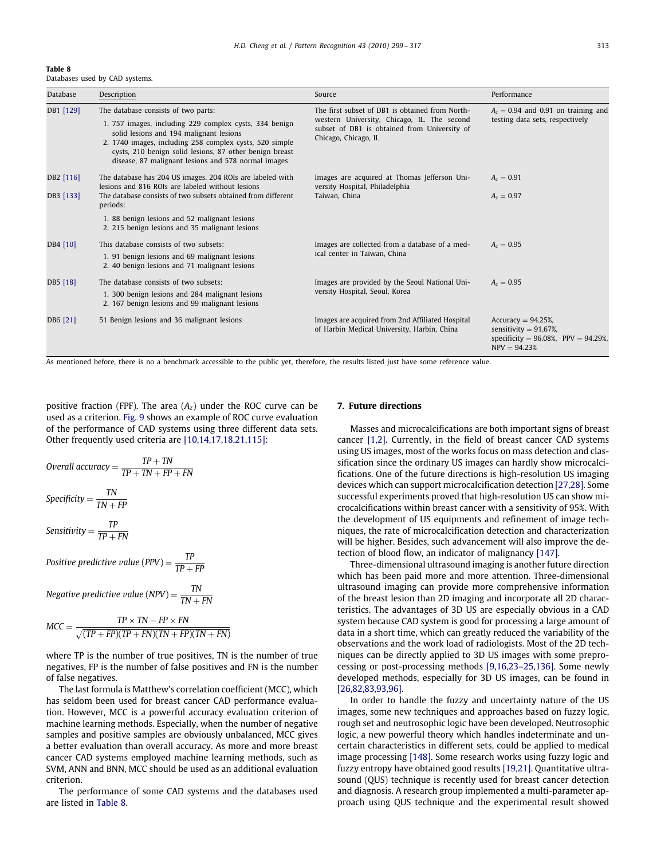<span id="page-14-0"></span>

| Table 8                        |  |  |
|--------------------------------|--|--|
| Databases used by CAD systems. |  |  |

| Database  | Description                                                                                                                                                                                                                                                                    | Source                                                                                                              | Performance                                                                                                         |
|-----------|--------------------------------------------------------------------------------------------------------------------------------------------------------------------------------------------------------------------------------------------------------------------------------|---------------------------------------------------------------------------------------------------------------------|---------------------------------------------------------------------------------------------------------------------|
| DB1 [129] | The database consists of two parts:                                                                                                                                                                                                                                            | The first subset of DB1 is obtained from North-                                                                     | $Az = 0.94$ and 0.91 on training and                                                                                |
|           | 1. 757 images, including 229 complex cysts, 334 benign<br>solid lesions and 194 malignant lesions<br>2. 1740 images, including 258 complex cysts, 520 simple<br>cysts, 210 benign solid lesions, 87 other benign breast<br>disease, 87 malignant lesions and 578 normal images | western University, Chicago, IL. The second<br>subset of DB1 is obtained from University of<br>Chicago, Chicago, IL | testing data sets, respectively                                                                                     |
| DB2 [116] | The database has 204 US images. 204 ROIs are labeled with<br>lesions and 816 ROIs are labeled without lesions                                                                                                                                                                  | Images are acquired at Thomas Jefferson Uni-<br>versity Hospital, Philadelphia                                      | $A_z = 0.91$                                                                                                        |
| DB3 [133] | The database consists of two subsets obtained from different<br>periods:                                                                                                                                                                                                       | Taiwan, China                                                                                                       | $A_z = 0.97$                                                                                                        |
|           | 1. 88 benign lesions and 52 malignant lesions<br>2. 215 benign lesions and 35 malignant lesions                                                                                                                                                                                |                                                                                                                     |                                                                                                                     |
| DB4 [10]  | This database consists of two subsets:                                                                                                                                                                                                                                         | Images are collected from a database of a med-                                                                      | $A_z = 0.95$                                                                                                        |
|           | 1. 91 benign lesions and 69 malignant lesions<br>2. 40 benign lesions and 71 malignant lesions                                                                                                                                                                                 | ical center in Taiwan, China                                                                                        |                                                                                                                     |
| DB5 [18]  | The database consists of two subsets:                                                                                                                                                                                                                                          | Images are provided by the Seoul National Uni-                                                                      | $A_z = 0.95$                                                                                                        |
|           | 1. 300 benign lesions and 284 malignant lesions<br>2. 167 benign lesions and 99 malignant lesions                                                                                                                                                                              | versity Hospital, Seoul, Korea                                                                                      |                                                                                                                     |
| DB6 [21]  | 51 Benign lesions and 36 malignant lesions                                                                                                                                                                                                                                     | Images are acquired from 2nd Affiliated Hospital<br>of Harbin Medical University, Harbin, China                     | $Accuracy = 94.25\%,$<br>sensitivity = $91.67\%$ ,<br>specificity = $96.08\%$ , PPV = $94.29\%$ ,<br>$NPV = 94.23%$ |

As mentioned before, there is no a benchmark accessible to the public yet, therefore, the results listed just have some reference value.

positive fraction (FPF). The area  $(A<sub>z</sub>)$  under the ROC curve can be used as a criterion. [Fig. 9](#page-13-1) shows an example of ROC curve evaluation of the performance of CAD systems using three different data sets. Other frequently used criteria are [10,14,17,18,21,115]:

Overall accuracy = 
$$
\frac{TP + TN}{TP + TN + FP + FN}
$$

$$
Specificity = \frac{TN}{TN + FP}
$$

$$
Sensitivity = \frac{TP}{TP + FN}
$$

*Positive predictive value* (*PPV*) <sup>=</sup> *TP TP* + *FP*

*Negative predictive value* (*NPV*) <sup>=</sup> *TN TN* + *FN*

$$
MCC = \frac{TP \times TN - FP \times FN}{\sqrt{(TP + FP)(TP + FN)(TN + FP)(TN + FN)}}
$$

where TP is the number of true positives, TN is the number of true negatives, FP is the number of false positives and FN is the number of false negatives.

The last formula is Matthew's correlation coefficient (MCC), which has seldom been used for breast cancer CAD performance evaluation. However, MCC is a powerful accuracy evaluation criterion of machine learning methods. Especially, when the number of negative samples and positive samples are obviously unbalanced, MCC gives a better evaluation than overall accuracy. As more and more breast cancer CAD systems employed machine learning methods, such as SVM, ANN and BNN, MCC should be used as an additional evaluation criterion.

The performance of some CAD systems and the databases used are listed in [Table 8.](#page-14-0)

# **7. Future directions**

Masses and microcalcifications are both important signs of breast cancer [1,2]. Currently, in the field of breast cancer CAD systems using US images, most of the works focus on mass detection and classification since the ordinary US images can hardly show microcalcifications. One of the future directions is high-resolution US imaging devices which can support microcalcification detection [27,28]. Some successful experiments proved that high-resolution US can show microcalcifications within breast cancer with a sensitivity of 95%. With the development of US equipments and refinement of image techniques, the rate of microcalcification detection and characterization will be higher. Besides, such advancement will also improve the detection of blood flow, an indicator of malignancy [\[147\].](#page-17-42)

Three-dimensional ultrasound imaging is another future direction which has been paid more and more attention. Three-dimensional ultrasound imaging can provide more comprehensive information of the breast lesion than 2D imaging and incorporate all 2D characteristics. The advantages of 3D US are especially obvious in a CAD system because CAD system is good for processing a large amount of data in a short time, which can greatly reduced the variability of the observations and the work load of radiologists. Most of the 2D techniques can be directly applied to 3D US images with some preprocessing or post-processing methods [9,16,23–25,136]. Some newly developed methods, especially for 3D US images, can be found in [26,82,83,93,96].

In order to handle the fuzzy and uncertainty nature of the US images, some new techniques and approaches based on fuzzy logic, rough set and neutrosophic logic have been developed. Neutrosophic logic, a new powerful theory which handles indeterminate and uncertain characteristics in different sets, could be applied to medical image processing [\[148\].](#page-17-43) Some research works using fuzzy logic and fuzzy entropy have obtained good results [19,21]. Quantitative ultrasound (QUS) technique is recently used for breast cancer detection and diagnosis. A research group implemented a multi-parameter approach using QUS technique and the experimental result showed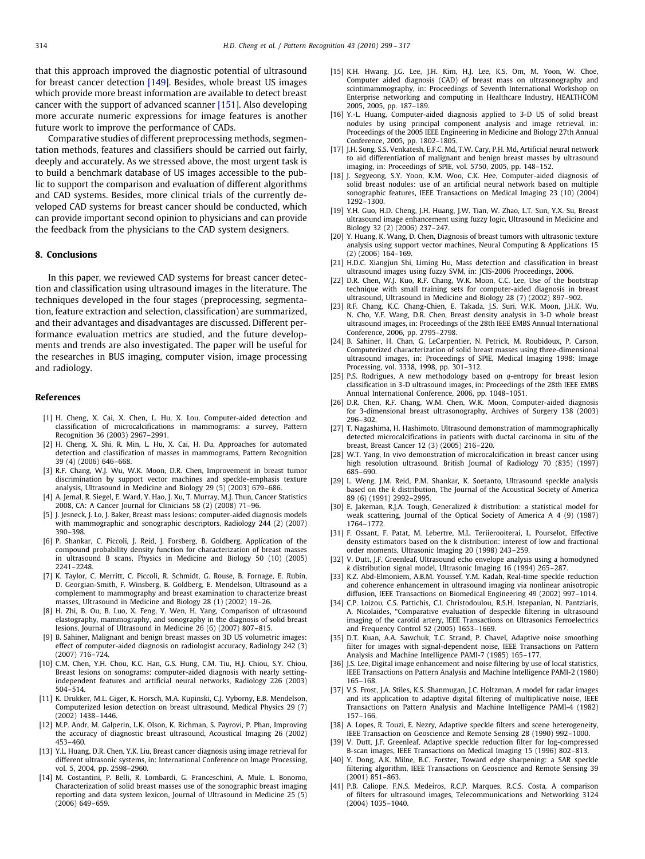that this approach improved the diagnostic potential of ultrasound for breast cancer detection [\[149\].](#page-17-44) Besides, whole breast US images which provide more breast information are available to detect breast cancer with the support of advanced scanner [\[151\].](#page-17-45) Also developing more accurate numeric expressions for image features is another future work to improve the performance of CADs.

Comparative studies of different preprocessing methods, segmentation methods, features and classifiers should be carried out fairly, deeply and accurately. As we stressed above, the most urgent task is to build a benchmark database of US images accessible to the public to support the comparison and evaluation of different algorithms and CAD systems. Besides, more clinical trials of the currently developed CAD systems for breast cancer should be conducted, which can provide important second opinion to physicians and can provide the feedback from the physicians to the CAD system designers.

# **8. Conclusions**

In this paper, we reviewed CAD systems for breast cancer detection and classification using ultrasound images in the literature. The techniques developed in the four stages (preprocessing, segmentation, feature extraction and selection, classification) are summarized, and their advantages and disadvantages are discussed. Different performance evaluation metrics are studied, and the future developments and trends are also investigated. The paper will be useful for the researches in BUS imaging, computer vision, image processing and radiology.

#### **References**

- [1] H. Cheng, X. Cai, X. Chen, L. Hu, X. Lou, Computer-aided detection and classification of microcalcifications in mammograms: a survey, Pattern Recognition 36 (2003) 2967–2991.
- <span id="page-15-3"></span><span id="page-15-1"></span>[2] H. Cheng, X. Shi, R. Min, L. Hu, X. Cai, H. Du, Approaches for automated detection and classification of masses in mammograms, Pattern Recognition 39 (4) (2006) 646–668.
- <span id="page-15-0"></span>[3] R.F. Chang, W.J. Wu, W.K. Moon, D.R. Chen, Improvement in breast tumor discrimination by support vector machines and speckle-emphasis texture analysis, Ultrasound in Medicine and Biology 29 (5) (2003) 679–686.
- <span id="page-15-2"></span>[4] A. Jemal, R. Siegel, E. Ward, Y. Hao, J. Xu, T. Murray, M.J. Thun, Cancer Statistics 2008, CA: A Cancer Journal for Clinicians 58 (2) (2008) 71–96.
- [5] J. Jesneck, J. Lo, J. Baker, Breast mass lesions: computer-aided diagnosis models with mammographic and sonographic descriptors, Radiology 244 (2) (2007) 390–398.
- [6] P. Shankar, C. Piccoli, J. Reid, J. Forsberg, B. Goldberg, Application of the compound probability density function for characterization of breast masses in ultrasound B scans, Physics in Medicine and Biology 50 (10) (2005) 2241–2248.
- [7] K. Taylor, C. Merritt, C. Piccoli, R. Schmidt, G. Rouse, B. Fornage, E. Rubin, D. Georgian-Smith, F. Winsberg, B. Goldberg, E. Mendelson, Ultrasound as a complement to mammography and breast examination to characterize breast masses, Ultrasound in Medicine and Biology 28 (1) (2002) 19–26.
- <span id="page-15-7"></span>[8] H. Zhi, B. Ou, B. Luo, X. Feng, Y. Wen, H. Yang, Comparison of ultrasound elastography, mammography, and sonography in the diagnosis of solid breast lesions, Journal of Ultrasound in Medicine 26 (6) (2007) 807–815.
- <span id="page-15-6"></span>[9] B. Sahiner, Malignant and benign breast masses on 3D US volumetric images: effect of computer-aided diagnosis on radiologist accuracy, Radiology 242 (3) (2007) 716–724.
- <span id="page-15-4"></span>[10] C.M. Chen, Y.H. Chou, K.C. Han, G.S. Hung, C.M. Tiu, H.J. Chiou, S.Y. Chiou, Breast lesions on sonograms: computer-aided diagnosis with nearly settingindependent features and artificial neural networks, Radiology 226 (2003) 504–514.
- <span id="page-15-5"></span>[11] K. Drukker, M.L. Giger, K. Horsch, M.A. Kupinski, C.J. Vyborny, E.B. Mendelson, Computerized lesion detection on breast ultrasound, Medical Physics 29 (7) (2002) 1438–1446.
- <span id="page-15-8"></span>[12] M.P. Andr, M. Galperin, L.K. Olson, K. Richman, S. Payrovi, P. Phan, Improving the accuracy of diagnostic breast ultrasound, Acoustical Imaging 26 (2002) 453–460.
- <span id="page-15-26"></span>[13] Y.L. Huang, D.R. Chen, Y.K. Liu, Breast cancer diagnosis using image retrieval for different ultrasonic systems, in: International Conference on Image Processing, vol. 5, 2004, pp. 2598–2960.
- [14] M. Costantini, P. Belli, R. Lombardi, G. Franceschini, A. Mule, L. Bonomo, Characterization of solid breast masses use of the sonographic breast imaging reporting and data system lexicon, Journal of Ultrasound in Medicine 25 (5) (2006) 649–659.
- <span id="page-15-9"></span>[15] K.H. Hwang, J.G. Lee, J.H. Kim, H.J. Lee, K.S. Om, M. Yoon, W. Choe, Computer aided diagnosis (CAD) of breast mass on ultrasonography and scintimammography, in: Proceedings of Seventh International Workshop on Enterprise networking and computing in Healthcare Industry, HEALTHCOM 2005, 2005, pp. 187–189.
- <span id="page-15-25"></span>[16] Y.-L. Huang, Computer-aided diagnosis applied to 3-D US of solid breast nodules by using principal component analysis and image retrieval, in: Proceedings of the 2005 IEEE Engineering in Medicine and Biology 27th Annual Conference, 2005, pp. 1802–1805.
- [17] J.H. Song, S.S. Venkatesh, E.F.C. Md, T.W. Cary, P.H. Md, Artificial neural network to aid differentiation of malignant and benign breast masses by ultrasound imaging, in: Proceedings of SPIE, vol. 5750, 2005, pp. 148–152.
- <span id="page-15-28"></span>[18] J. Segyeong, S.Y. Yoon, K.M. Woo, C.K. Hee, Computer-aided diagnosis of solid breast nodules: use of an artificial neural network based on multiple sonographic features, IEEE Transactions on Medical Imaging 23 (10) (2004) 1292–1300.
- <span id="page-15-22"></span>[19] Y.H. Guo, H.D. Cheng, J.H. Huang, J.W. Tian, W. Zhao, L.T. Sun, Y.X. Su, Breast ultrasound image enhancement using fuzzy logic, Ultrasound in Medicine and Biology 32 (2) (2006) 237–247.
- <span id="page-15-23"></span>[20] Y. Huang, K. Wang, D. Chen, Diagnosis of breast tumors with ultrasonic texture analysis using support vector machines, Neural Computing & Applications 15 (2) (2006) 164–169.
- <span id="page-15-27"></span>[21] H.D.C. Xiangjun Shi, Liming Hu, Mass detection and classification in breast ultrasound images using fuzzy SVM, in: JCIS-2006 Proceedings, 2006.
- <span id="page-15-10"></span>[22] D.R. Chen, W.J. Kuo, R.F. Chang, W.K. Moon, C.C. Lee, Use of the bootstrap technique with small training sets for computer-aided diagnosis in breast ultrasound, Ultrasound in Medicine and Biology 28 (7) (2002) 897–902.
- [23] R.F. Chang, K.C. Chang-Chien, E. Takada, J.S. Suri, W.K. Moon, J.H.K. Wu, N. Cho, Y.F. Wang, D.R. Chen, Breast density analysis in 3-D whole breast ultrasound images, in: Proceedings of the 28th IEEE EMBS Annual International Conference, 2006, pp. 2795–2798.
- [24] B. Sahiner, H. Chan, G. LeCarpentier, N. Petrick, M. Roubidoux, P. Carson, Computerized characterization of solid breast masses using three-dimensional ultrasound images, in: Proceedings of SPIE, Medical Imaging 1998: Image Processing, vol. 3338, 1998, pp. 301–312.
- <span id="page-15-24"></span>[25] P.S. Rodrigues, A new methodology based on *q*-entropy for breast lesion classification in 3-D ultrasound images, in: Proceedings of the 28th IEEE EMBS Annual International Conference, 2006, pp. 1048–1051.
- [26] D.R. Chen, R.F. Chang, W.M. Chen, W.K. Moon, Computer-aided diagnosis for 3-dimensional breast ultrasonography, Archives of Surgery 138 (2003) 296–302.
- [27] T. Nagashima, H. Hashimoto, Ultrasound demonstration of mammographically detected microcalcifications in patients with ductal carcinoma in situ of the breast, Breast Cancer 12 (3) (2005) 216–220.
- <span id="page-15-11"></span>[28] W.T. Yang, In vivo demonstration of microcalcification in breast cancer using high resolution ultrasound, British Journal of Radiology 70 (835) (1997) 685–690.
- <span id="page-15-12"></span>[29] L. Weng, J.M. Reid, P.M. Shankar, K. Soetanto, Ultrasound speckle analysis based on the *k* distribution, The Journal of the Acoustical Society of America 89 (6) (1991) 2992–2995.
- <span id="page-15-13"></span>[30] E. Jakeman, R.J.A. Tough, Generalized *k* distribution: a statistical model for weak scattering, Journal of the Optical Society of America A 4 (9) (1987) 1764–1772.
- <span id="page-15-14"></span>[31] F. Ossant, F. Patat, M. Lebertre, M.L. Teriierooiterai, L. Pourselot, Effective density estimators based on the k distribution: interest of low and fractional order moments, Ultrasonic Imaging 20 (1998) 243–259.
- <span id="page-15-15"></span>[32] V. Dutt, J.F. Greenleaf, Ultrasound echo envelope analysis using a homodyned *k* distribution signal model, Ultrasonic Imaging 16 (1994) 265–287.
- <span id="page-15-21"></span>[33] K.Z. Abd-Elmoniem, A.B.M. Youssef, Y.M. Kadah, Real-time speckle reduction and coherence enhancement in ultrasound imaging via nonlinear anisotropic diffusion, IEEE Transactions on Biomedical Engineering 49 (2002) 997–1014.
- <span id="page-15-17"></span>[34] C.P. Loizou, C.S. Pattichis, C.I. Christodoulou, R.S.H. Istepanian, N. Pantziaris, A. Nicolaides, "Comparative evaluation of despeckle filtering in ultrasound imaging of the carotid artery, IEEE Transactions on Ultrasonics Ferroelectrics and Frequency Control 52 (2005) 1653–1669.
- <span id="page-15-16"></span>[35] D.T. Kuan, A.A. Sawchuk, T.C. Strand, P. Chavel, Adaptive noise smoothing filter for images with signal-dependent noise, IEEE Transactions on Pattern Analysis and Machine Intelligence PAMI-7 (1985) 165–177.
- <span id="page-15-18"></span>[36] J.S. Lee, Digital image enhancement and noise filtering by use of local statistics, IEEE Transactions on Pattern Analysis and Machine Intelligence PAMI-2 (1980) 165–168.
- <span id="page-15-19"></span>[37] V.S. Frost, J.A. Stiles, K.S. Shanmugan, J.C. Holtzman, A model for radar images and its application to adaptive digital filtering of multiplicative noise, IEEE Transactions on Pattern Analysis and Machine Intelligence PAMI-4 (1982) 157–166.
- [38] A. Lopes, R. Touzi, E. Nezry, Adaptive speckle filters and scene heterogeneity, IEEE Transaction on Geoscience and Remote Sensing 28 (1990) 992–1000.
- [39] V. Dutt, J.F. Greenleaf, Adaptive speckle reduction filter for log-compressed B-scan images, IEEE Transactions on Medical Imaging 15 (1996) 802–813.
- <span id="page-15-20"></span>[40] Y. Dong, A.K. Milne, B.C. Forster, Toward edge sharpening: a SAR speckle filtering algorithm, IEEE Transactions on Geoscience and Remote Sensing 39 (2001) 851–863.
- [41] P.B. Caliope, F.N.S. Medeiros, R.C.P. Marques, R.C.S. Costa, A comparison of filters for ultrasound images, Telecommunications and Networking 3124 (2004) 1035–1040.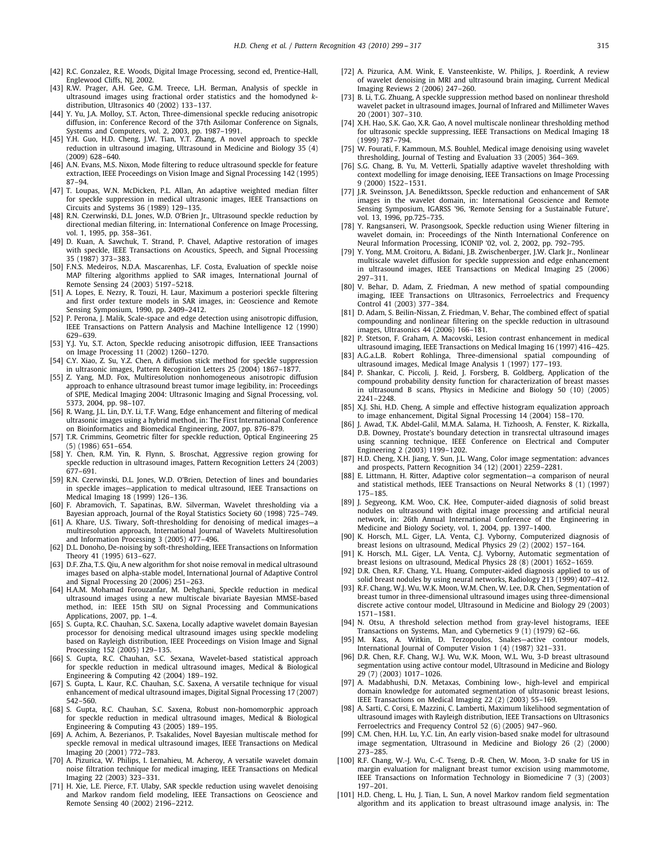- [42] R.C. Gonzalez, R.E. Woods, Digital Image Processing, second ed, Prentice-Hall, Englewood Cliffs, NJ, 2002.
- [43] R.W. Prager, A.H. Gee, G.M. Treece, L.H. Berman, Analysis of speckle in ultrasound images using fractional order statistics and the homodyned *k*distribution, Ultrasonics 40 (2002) 133–137.
- <span id="page-16-7"></span>[44] Y. Yu, J.A. Molloy, S.T. Acton, Three-dimensional speckle reducing anisotropic diffusion, in: Conference Record of the 37th Asilomar Conference on Signals, Systems and Computers, vol. 2, 2003, pp. 1987–1991.
- <span id="page-16-0"></span>[45] Y.H. Guo, H.D. Cheng, J.W. Tian, Y.T. Zhang, A novel approach to speckle reduction in ultrasound imaging, Ultrasound in Medicine and Biology 35 (4) (2009) 628–640.
- [46] A.N. Evans, M.S. Nixon, Mode filtering to reduce ultrasound speckle for feature extraction, IEEE Proceedings on Vision Image and Signal Processing 142 (1995) 87–94.
- <span id="page-16-1"></span>[47] T. Loupas, W.N. McDicken, P.L. Allan, An adaptive weighted median filter for speckle suppression in medical ultrasonic images, IEEE Transactions on Circuits and Systems 36 (1989) 129–135.
- <span id="page-16-2"></span>[48] R.N. Czerwinski, D.L. Jones, W.D. O'Brien Jr., Ultrasound speckle reduction by directional median filtering, in: International Conference on Image Processing, vol. 1, 1995, pp. 358–361.
- <span id="page-16-3"></span>[49] D. Kuan, A. Sawchuk, T. Strand, P. Chavel, Adaptive restoration of images with speckle, IEEE Transactions on Acoustics, Speech, and Signal Processing 35 (1987) 373–383.
- [50] F.N.S. Medeiros, N.D.A. Mascarenhas, L.F. Costa, Evaluation of speckle noise MAP filtering algorithms applied to SAR images, International Journal of Remote Sensing 24 (2003) 5197–5218.
- <span id="page-16-4"></span>[51] A. Lopes, E. Nezry, R. Touzi, H. Laur, Maximum a posteriori speckle filtering and first order texture models in SAR images, in: Geoscience and Remote Sensing Symposium, 1990, pp. 2409–2412.
- <span id="page-16-5"></span>[52] P. Perona, J. Malik, Scale-space and edge detection using anisotropic diffusion, IEEE Transactions on Pattern Analysis and Machine Intelligence 12 (1990) 629–639.
- <span id="page-16-6"></span>[53] Y.J. Yu, S.T. Acton, Speckle reducing anisotropic diffusion, IEEE Transactions on Image Processing 11 (2002) 1260–1270.
- <span id="page-16-8"></span>[54] C.Y. Xiao, Z. Su, Y.Z. Chen, A diffusion stick method for speckle suppression in ultrasonic images, Pattern Recognition Letters 25 (2004) 1867–1877.
- <span id="page-16-9"></span>[55] Z. Yang, M.D. Fox, Multiresolution nonhomogeneous anisotropic diffusion approach to enhance ultrasound breast tumor image legibility, in: Proceedings of SPIE, Medical Imaging 2004: Ultrasonic Imaging and Signal Processing, vol. 5373, 2004, pp. 98–107.
- <span id="page-16-10"></span>[56] R. Wang, J.L. Lin, D.Y. Li, T.F. Wang, Edge enhancement and filtering of medical ultrasonic images using a hybrid method, in: The First International Conference on Bioinformatics and Biomedical Engineering, 2007, pp. 876–879.
- <span id="page-16-12"></span><span id="page-16-11"></span>[57] T.R. Crimmins, Geometric filter for speckle reduction, Optical Engineering 25 (5) (1986) 651–654.
- <span id="page-16-13"></span>[58] Y. Chen, R.M. Yin, R. Flynn, S. Broschat, Aggressive region growing for speckle reduction in ultrasound images, Pattern Recognition Letters 24 (2003) 677–691.
- [59] R.N. Czerwinski, D.L. Jones, W.D. O'Brien, Detection of lines and boundaries in speckle images—application to medical ultrasound, IEEE Transactions on Medical Imaging 18 (1999) 126–136.
- [60] F. Abramovich, T. Sapatinas, B.W. Silverman, Wavelet thresholding via a Bayesian approach, Journal of the Royal Statistics Society 60 (1998) 725–749.
- [61] A. Khare, U.S. Tiwary, Soft-thresholding for denoising of medical images—a multiresolution approach, International Journal of Wavelets Multiresolution and Information Processing 3 (2005) 477–496.
- [62] D.L. Donoho, De-noising by soft-thresholding, IEEE Transactions on Information Theory 41 (1995) 613–627.
- <span id="page-16-17"></span>[63] D.F. Zha, T.S. Qiu, A new algorithm for shot noise removal in medical ultrasound images based on alpha-stable model, International Journal of Adaptive Control and Signal Processing 20 (2006) 251–263.
- [64] H.A.M. Mohamad Forouzanfar, M. Dehghani, Speckle reduction in medical ultrasound images using a new multiscale bivariate Bayesian MMSE-based method, in: IEEE 15th SIU on Signal Processing and Communications Applications, 2007, pp. 1–4.
- [65] S. Gupta, R.C. Chauhan, S.C. Saxena, Locally adaptive wavelet domain Bayesian processor for denoising medical ultrasound images using speckle modeling based on Rayleigh distribution, IEEE Proceedings on Vision Image and Signal Processing 152 (2005) 129–135.
- <span id="page-16-15"></span>[66] S. Gupta, R.C. Chauhan, S.C. Sexana, Wavelet-based statistical approach for speckle reduction in medical ultrasound images, Medical & Biological Engineering & Computing 42 (2004) 189–192.
- [67] S. Gupta, L. Kaur, R.C. Chauhan, S.C. Saxena, A versatile technique for visual enhancement of medical ultrasound images, Digital Signal Processing 17 (2007) 542–560.
- <span id="page-16-16"></span>[68] S. Gupta, R.C. Chauhan, S.C. Saxena, Robust non-homomorphic approach for speckle reduction in medical ultrasound images, Medical & Biological Engineering & Computing 43 (2005) 189–195.
- <span id="page-16-18"></span>[69] A. Achim, A. Bezerianos, P. Tsakalides, Novel Bayesian multiscale method for speckle removal in medical ultrasound images, IEEE Transactions on Medical Imaging 20 (2001) 772–783.
- <span id="page-16-19"></span>[70] A. Pizurica, W. Philips, I. Lemahieu, M. Acheroy, A versatile wavelet domain noise filtration technique for medical imaging, IEEE Transactions on Medical Imaging 22 (2003) 323–331.
- [71] H. Xie, L.E. Pierce, F.T. Ulaby, SAR speckle reduction using wavelet denoising and Markov random field modeling, IEEE Transactions on Geoscience and Remote Sensing 40 (2002) 2196–2212.
- <span id="page-16-14"></span>[72] A. Pizurica, A.M. Wink, E. Vansteenkiste, W. Philips, J. Roerdink, A review of wavelet denoising in MRI and ultrasound brain imaging, Current Medical Imaging Reviews 2 (2006) 247–260.
- [73] B. Li, T.G. Zhuang, A speckle suppression method based on nonlinear threshold wavelet packet in ultrasound images, Journal of Infrared and Millimeter Waves 20 (2001) 307–310.
- [74] X.H. Hao, S.K. Gao, X.R. Gao, A novel multiscale nonlinear thresholding method for ultrasonic speckle suppressing, IEEE Transactions on Medical Imaging 18 (1999) 787–794.
- [75] W. Fourati, F. Kammoun, M.S. Bouhlel, Medical image denoising using wavelet thresholding, Journal of Testing and Evaluation 33 (2005) 364–369.
- [76] S.G. Chang, B. Yu, M. Vetterli, Spatially adaptive wavelet thresholding with context modelling for image denoising, IEEE Transactions on Image Processing 9 (2000) 1522–1531.
- [77] J.R. Sveinsson, J.A. Benediktsson, Speckle reduction and enhancement of SAR images in the wavelet domain, in: International Geoscience and Remote Sensing Symposium, IGARSS '96, 'Remote Sensing for a Sustainable Future', vol. 13, 1996, pp.725–735.
- <span id="page-16-20"></span>[78] Y. Rangsanseri, W. Prasongsook, Speckle reduction using Wiener filtering in wavelet domain, in: Proceedings of the Ninth International Conference on Neural Information Processing, ICONIP '02, vol. 2, 2002, pp. 792–795.
- <span id="page-16-21"></span>[79] Y. Yong, M.M. Croitoru, A. Bidani, J.B. Zwischenberger, J.W. Clark Jr., Nonlinear multiscale wavelet diffusion for speckle suppression and edge enhancement in ultrasound images, IEEE Transactions on Medical Imaging 25 (2006) 297–311.
- [80] V. Behar, D. Adam, Z. Friedman, A new method of spatial compounding imaging, IEEE Transactions on Ultrasonics, Ferroelectrics and Frequency Control 41 (2003) 377–384.
- [81] D. Adam, S. Beilin-Nissan, Z. Friedman, V. Behar, The combined effect of spatial compounding and nonlinear filtering on the speckle reduction in ultrasound images, Ultrasonics 44 (2006) 166–181.
- <span id="page-16-23"></span>[82] P. Stetson, F. Graham, A. Macovski, Lesion contrast enhancement in medical ultrasound imaging, IEEE Transactions on Medical Imaging 16 (1997) 416-425.
- <span id="page-16-22"></span>[83] A.G.a.L.B. Robert Rohlinga, Three-dimensional spatial compounding of ultrasound images, Medical Image Analysis 1 (1997) 177–193.
- [84] P. Shankar, C. Piccoli, J. Reid, J. Forsberg, B. Goldberg, Application of the compound probability density function for characterization of breast masses in ultrasound B scans, Physics in Medicine and Biology 50 (10) (2005) 2241–2248.
- <span id="page-16-25"></span><span id="page-16-24"></span>[85] X.J. Shi, H.D. Cheng, A simple and effective histogram equalization approach to image enhancement, Digital Signal Processing 14 (2004) 158–170.
- [86] J. Awad, T.K. Abdel-Galil, M.M.A. Salama, H. Tizhoosh, A. Fenster, K. Rizkalla, D.B. Downey, Prostate's boundary detection in transrectal ultrasound images using scanning technique, IEEE Conference on Electrical and Computer Engineering 2 (2003) 1199–1202.
- <span id="page-16-26"></span>[87] H.D. Cheng, X.H. Jiang, Y. Sun, J.L. Wang, Color image segmentation: advances and prospects, Pattern Recognition 34 (12) (2001) 2259–2281.
- [88] E. Littmann, H. Ritter, Adaptive color segmentation—a comparison of neural and statistical methods, IEEE Transactions on Neural Networks 8 (1) (1997) 175–185.
- <span id="page-16-33"></span>[89] J. Segyeong, K.M. Woo, C.K. Hee, Computer-aided diagnosis of solid breast nodules on ultrasound with digital image processing and artificial neural network, in: 26th Annual International Conference of the Engineering in Medicine and Biology Society, vol. 1, 2004, pp. 1397–1400.
- [90] K. Horsch, M.L. Giger, L.A. Venta, C.J. Vyborny, Computerized diagnosis of breast lesions on ultrasound, Medical Physics 29 (2) (2002) 157–164.
- [91] K. Horsch, M.L. Giger, L.A. Venta, C.J. Vyborny, Automatic segmentation of breast lesions on ultrasound, Medical Physics 28 (8) (2001) 1652–1659.
- <span id="page-16-27"></span>[92] D.R. Chen, R.F. Chang, Y.L. Huang, Computer-aided diagnosis applied to us of solid breast nodules by using neural networks, Radiology 213 (1999) 407–412.
- <span id="page-16-28"></span>[93] R.F. Chang, W.J. Wu, W.K. Moon, W.M. Chen, W. Lee, D.R. Chen, Segmentation of breast tumor in three-dimensional ultrasound images using three-dimensional discrete active contour model, Ultrasound in Medicine and Biology 29 (2003) 1571–1581.
- <span id="page-16-29"></span>[94] N. Otsu, A threshold selection method from gray-level histograms, IEEE
- Transactions on Systems, Man, and Cybernetics 9 (1) (1979) 62–66. [95] M. Kass, A. Witkin, D. Terzopoulos, Snakes—active contour models, International Journal of Computer Vision 1 (4) (1987) 321–331.
- <span id="page-16-30"></span>[96] D.R. Chen, R.F. Chang, W.J. Wu, W.K. Moon, W.L. Wu, 3-D breast ultrasound segmentation using active contour model, Ultrasound in Medicine and Biology 29 (7) (2003) 1017–1026.
- <span id="page-16-31"></span>[97] A. Madabhushi, D.N. Metaxas, Combining low-, high-level and empirical domain knowledge for automated segmentation of ultrasonic breast lesions, IEEE Transactions on Medical Imaging 22 (2) (2003) 55–169.
- [98] A. Sarti, C. Corsi, E. Mazzini, C. Lamberti, Maximum likelihood segmentation of ultrasound images with Rayleigh distribution, IEEE Transactions on Ultrasonics Ferroelectrics and Frequency Control 52 (6) (2005) 947–960.
- [99] C.M. Chen, H.H. Lu, Y.C. Lin, An early vision-based snake model for ultrasound image segmentation, Ultrasound in Medicine and Biology 26 (2) (2000) 273–285.
- <span id="page-16-32"></span>[100] R.F. Chang, W.-J. Wu, C.-C. Tseng, D.-R. Chen, W. Moon, 3-D snake for US in margin evaluation for malignant breast tumor excision using mammotome, IEEE Transactions on Information Technology in Biomedicine 7 (3) (2003) 197–201.
- [101] H.D. Cheng, L. Hu, J. Tian, L. Sun, A novel Markov random field segmentation algorithm and its application to breast ultrasound image analysis, in: The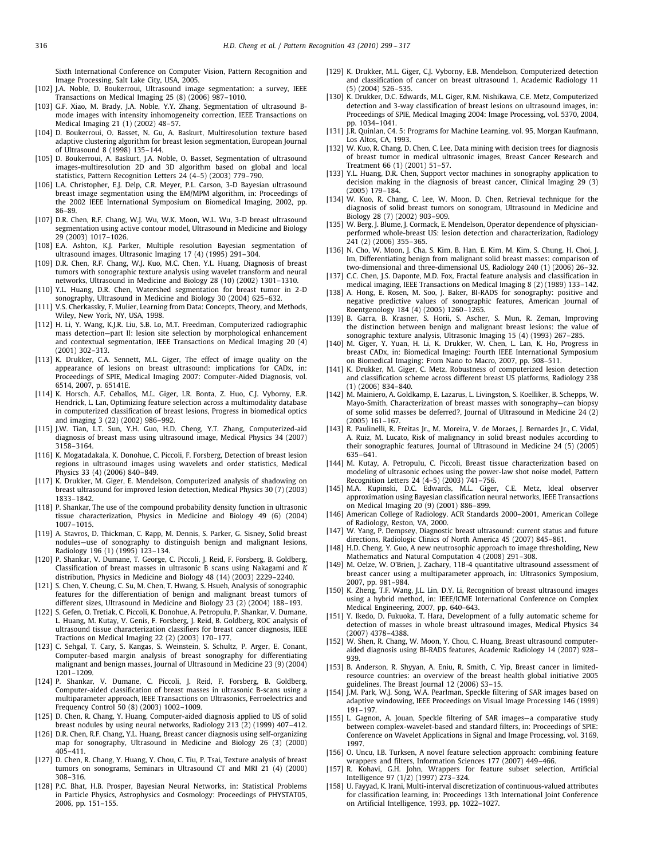Sixth International Conference on Computer Vision, Pattern Recognition and Image Processing, Salt Lake City, USA, 2005.

- <span id="page-17-8"></span>[102] J.A. Noble, D. Boukerroui, Ultrasound image segmentation: a survey, IEEE Transactions on Medical Imaging 25 (8) (2006) 987–1010.
- <span id="page-17-3"></span>[103] G.F. Xiao, M. Brady, J.A. Noble, Y.Y. Zhang, Segmentation of ultrasound Bmode images with intensity inhomogeneity correction, IEEE Transactions on Medical Imaging 21 (1) (2002) 48–57.
- <span id="page-17-4"></span>[104] D. Boukerroui, O. Basset, N. Gu, A. Baskurt, Multiresolution texture based adaptive clustering algorithm for breast lesion segmentation, European Journal of Ultrasound 8 (1998) 135–144.
- <span id="page-17-6"></span>[105] D. Boukerroui, A. Baskurt, J.A. Noble, O. Basset, Segmentation of ultrasound images-multiresolution 2D and 3D algorithm based on global and local statistics, Pattern Recognition Letters 24 (4–5) (2003) 779–790.
- <span id="page-17-7"></span>[106] L.A. Christopher, E.J. Delp, C.R. Meyer, P.L. Carson, 3-D Bayesian ultrasound breast image segmentation using the EM/MPM algorithm, in: Proceedings of the 2002 IEEE International Symposium on Biomedical Imaging, 2002, pp. 86–89.
- [107] D.R. Chen, R.F. Chang, W.J. Wu, W.K. Moon, W.L. Wu, 3-D breast ultrasound segmentation using active contour model, Ultrasound in Medicine and Biology 29 (2003) 1017–1026.
- <span id="page-17-5"></span>[108] E.A. Ashton, K.J. Parker, Multiple resolution Bayesian segmentation of ultrasound images, Ultrasonic Imaging 17 (4) (1995) 291–304.
- <span id="page-17-9"></span>[109] D.R. Chen, R.F. Chang, W.J. Kuo, M.C. Chen, Y.L. Huang, Diagnosis of breast tumors with sonographic texture analysis using wavelet transform and neural networks, Ultrasound in Medicine and Biology 28 (10) (2002) 1301–1310.
- <span id="page-17-10"></span>[110] Y.L. Huang, D.R. Chen, Watershed segmentation for breast tumor in 2-D sonography, Ultrasound in Medicine and Biology 30 (2004) 625–632.
- <span id="page-17-11"></span>[111] V.S. Cherkassky, F. Mulier, Learning from Data: Concepts, Theory, and Methods, Wiley, New York, NY, USA, 1998.
- <span id="page-17-12"></span>[112] H. Li, Y. Wang, K.J.R. Liu, S.B. Lo, M.T. Freedman, Computerized radiographic mass detection—part II: lesion site selection by morphological enhancement and contextual segmentation, IEEE Transactions on Medical Imaging 20 (4) (2001) 302–313.
- <span id="page-17-41"></span>[113] K. Drukker, C.A. Sennett, M.L. Giger, The effect of image quality on the appearance of lesions on breast ultrasound: implications for CADx, in: Proceedings of SPIE, Medical Imaging 2007: Computer-Aided Diagnosis, vol. 6514, 2007, p. 65141E.
- <span id="page-17-30"></span>[114] K. Horsch, A.F. Ceballos, M.L. Giger, I.R. Bonta, Z. Huo, C.J. Vyborny, E.R. Hendrick, L. Lan, Optimizing feature selection across a multimodality database in computerized classification of breast lesions, Progress in biomedical optics and imaging 3 (22) (2002) 986–992.
- [115] J.W. Tian, L.T. Sun, Y.H. Guo, H.D. Cheng, Y.T. Zhang, Computerized-aid diagnosis of breast mass using ultrasound image, Medical Physics 34 (2007) 3158–3164.
- <span id="page-17-13"></span>[116] K. Mogatadakala, K. Donohue, C. Piccoli, F. Forsberg, Detection of breast lesion regions in ultrasound images using wavelets and order statistics, Medical Physics 33 (4) (2006) 840–849.
- [117] K. Drukker, M. Giger, E. Mendelson, Computerized analysis of shadowing on breast ultrasound for improved lesion detection, Medical Physics 30 (7) (2003) 1833–1842.
- <span id="page-17-22"></span>[118] P. Shankar, The use of the compound probability density function in ultrasonic tissue characterization, Physics in Medicine and Biology 49 (6) (2004) 1007–1015.
- <span id="page-17-20"></span>[119] A. Stavros, D. Thickman, C. Rapp, M. Dennis, S. Parker, G. Sisney, Solid breast nodules—use of sonography to distinguish benign and malignant lesions, Radiology 196 (1) (1995) 123–134.
- <span id="page-17-24"></span>[120] P. Shankar, V. Dumane, T. George, C. Piccoli, J. Reid, F. Forsberg, B. Goldberg, Classification of breast masses in ultrasonic B scans using Nakagami and *K* distribution, Physics in Medicine and Biology 48 (14) (2003) 2229–2240.
- <span id="page-17-19"></span>[121] S. Chen, Y. Cheung, C. Su, M. Chen, T. Hwang, S. Hsueh, Analysis of sonographic features for the differentiation of benign and malignant breast tumors of different sizes, Ultrasound in Medicine and Biology 23 (2) (2004) 188–193.
- <span id="page-17-25"></span>[122] S. Gefen, O. Tretiak, C. Piccoli, K. Donohue, A. Petropulu, P. Shankar, V. Dumane, L. Huang, M. Kutay, V. Genis, F. Forsberg, J. Reid, B. Goldberg, ROC analysis of ultrasound tissue characterization classifiers for breast cancer diagnosis, IEEE Tractions on Medical Imaging 22 (2) (2003) 170–177.
- <span id="page-17-21"></span>[123] C. Sehgal, T. Cary, S. Kangas, S. Weinstein, S. Schultz, P. Arger, E. Conant, Computer-based margin analysis of breast sonography for differentiating malignant and benign masses, Journal of Ultrasound in Medicine 23 (9) (2004) 1201–1209.
- <span id="page-17-31"></span>[124] P. Shankar, V. Dumane, C. Piccoli, J. Reid, F. Forsberg, B. Goldberg, Computer-aided classification of breast masses in ultrasonic B-scans using a multiparameter approach, IEEE Transactions on Ultrasonics, Ferroelectrics and Frequency Control 50 (8) (2003) 1002–1009.
- <span id="page-17-33"></span>[125] D. Chen, R. Chang, Y. Huang, Computer-aided diagnosis applied to US of solid breast nodules by using neural networks, Radiology 213 (2) (1999) 407–412.
- <span id="page-17-34"></span>[126] D.R. Chen, R.F. Chang, Y.L. Huang, Breast cancer diagnosis using self-organizing map for sonography, Ultrasound in Medicine and Biology 26 (3) (2000) 405–411.
- <span id="page-17-36"></span>[127] D. Chen, R. Chang, Y. Huang, Y. Chou, C. Tiu, P. Tsai, Texture analysis of breast tumors on sonograms, Seminars in Ultrasound CT and MRI 21 (4) (2000) 308–316.
- [128] P.C. Bhat, H.B. Prosper, Bayesian Neural Networks, in: Statistical Problems in Particle Physics, Astrophysics and Cosmology: Proceedings of PHYSTAT05, 2006, pp. 151–155.
- <span id="page-17-17"></span>[129] K. Drukker, M.L. Giger, C.J. Vyborny, E.B. Mendelson, Computerized detection and classification of cancer on breast ultrasound 1, Academic Radiology 11 (5) (2004) 526–535.
- <span id="page-17-37"></span>[130] K. Drukker, D.C. Edwards, M.L. Giger, R.M. Nishikawa, C.E. Metz, Computerized detection and 3-way classification of breast lesions on ultrasound images, in: Proceedings of SPIE, Medical Imaging 2004: Image Processing, vol. 5370, 2004, pp. 1034–1041.
- <span id="page-17-15"></span>[131] J.R. Quinlan, C4. 5: Programs for Machine Learning, vol. 95, Morgan Kaufmann, Los Altos, CA, 1993.
- <span id="page-17-38"></span>[132] W. Kuo, R. Chang, D. Chen, C. Lee, Data mining with decision trees for diagnosis of breast tumor in medical ultrasonic images, Breast Cancer Research and Treatment 66 (1) (2001) 51–57.
- <span id="page-17-39"></span>[133] Y.L. Huang, D.R. Chen, Support vector machines in sonography application to decision making in the diagnosis of breast cancer, Clinical Imaging 29 (3) (2005) 179–184.
- <span id="page-17-40"></span>[134] W. Kuo, R. Chang, C. Lee, W. Moon, D. Chen, Retrieval technique for the diagnosis of solid breast tumors on sonogram, Ultrasound in Medicine and Biology 28 (7) (2002) 903–909.
- [135] W. Berg, J. Blume, J. Cormack, E. Mendelson, Operator dependence of physicianperformed whole-breast US: lesion detection and characterization, Radiology 241 (2) (2006) 355–365.
- [136] N. Cho, W. Moon, J. Cha, S. Kim, B. Han, E. Kim, M. Kim, S. Chung, H. Choi, J. Im, Differentiating benign from malignant solid breast masses: comparison of two-dimensional and three-dimensional US, Radiology 240 (1) (2006) 26–32.
- <span id="page-17-16"></span>[137] C.C. Chen, J.S. Daponte, M.D. Fox, Fractal feature analysis and classification in medical imaging, IEEE Transactions on Medical Imaging 8 (2) (1989) 133–142.
- [138] A. Hong, E. Rosen, M. Soo, J. Baker, BI-RADS for sonography: positive and negative predictive values of sonographic features, American Journal of Roentgenology 184 (4) (2005) 1260–1265.
- <span id="page-17-14"></span>[139] B. Garra, B. Krasner, S. Horii, S. Ascher, S. Mun, R. Zeman, Improving the distinction between benign and malignant breast lesions: the value of sonographic texture analysis, Ultrasonic Imaging 15 (4) (1993) 267–285.
- [140] M. Giger, Y. Yuan, H. Li, K. Drukker, W. Chen, L. Lan, K. Ho, Progress in breast CADx, in: Biomedical Imaging: Fourth IEEE International Symposium on Biomedical Imaging: From Nano to Macro, 2007, pp. 508–511.
- [141] K. Drukker, M. Giger, C. Metz, Robustness of computerized lesion detection and classification scheme across different breast US platforms, Radiology 238 (1) (2006) 834–840.
- [142] M. Mainiero, A. Goldkamp, E. Lazarus, L. Livingston, S. Koelliker, B. Schepps, W. Mayo-Smith, Characterization of breast masses with sonography—can biopsy of some solid masses be deferred?, Journal of Ultrasound in Medicine 24 (2) (2005) 161–167.
- <span id="page-17-23"></span>[143] R. Paulinelli, R. Freitas Jr., M. Moreira, V. de Moraes, J. Bernardes Jr., C. Vidal, A. Ruiz, M. Lucato, Risk of malignancy in solid breast nodules according to their sonographic features, Journal of Ultrasound in Medicine 24 (5) (2005) 635–641.
- <span id="page-17-35"></span>[144] M. Kutay, A. Petropulu, C. Piccoli, Breast tissue characterization based on modeling of ultrasonic echoes using the power-law shot noise model, Pattern Recognition Letters 24 (4–5) (2003) 741–756.
- <span id="page-17-26"></span>[145] M.A. Kupinski, D.C. Edwards, M.L. Giger, C.E. Metz, Ideal observer approximation using Bayesian classification neural networks, IEEE Transactions on Medical Imaging 20 (9) (2001) 886–899.
- <span id="page-17-42"></span>[146] American College of Radiology. ACR Standards 2000-2001, American College of Radiology, Reston, VA, 2000.
- <span id="page-17-43"></span>[147] W. Yang, P. Dempsey, Diagnostic breast ultrasound: current status and future directions, Radiologic Clinics of North America 45 (2007) 845–861.
- <span id="page-17-44"></span>[148] H.D. Cheng, Y. Guo, A new neutrosophic approach to image thresholding, New Mathematics and Natural Computation 4 (2008) 291–308.
- <span id="page-17-32"></span>[149] M. Oelze, W. O'Brien, J. Zachary, 11B-4 quantitative ultrasound assessment of breast cancer using a multiparameter approach, in: Ultrasonics Symposium, 2007, pp. 981–984.
- <span id="page-17-45"></span>[150] K. Zheng, T.F. Wang, J.L. Lin, D.Y. Li, Recognition of breast ultrasound images using a hybrid method, in: IEEE/ICME International Conference on Complex Medical Engineering, 2007, pp. 640–643.
- <span id="page-17-18"></span>[151] Y. Ikedo, D. Fukuoka, T. Hara, Development of a fully automatic scheme for detection of masses in whole breast ultrasound images, Medical Physics 34 (2007) 4378–4388.
- <span id="page-17-0"></span>[152] W. Shen, R. Chang, W. Moon, Y. Chou, C. Huang, Breast ultrasound computeraided diagnosis using BI-RADS features, Academic Radiology 14 (2007) 928– 939.
- <span id="page-17-1"></span>[153] B. Anderson, R. Shyyan, A. Eniu, R. Smith, C. Yip, Breast cancer in limitedresource countries: an overview of the breast health global initiative 2005 guidelines, The Breast Journal 12 (2006) S3–15.
- <span id="page-17-2"></span>[154] J.M. Park, W.J. Song, W.A. Pearlman, Speckle filtering of SAR images based on adaptive windowing, IEEE Proceedings on Visual Image Processing 146 (1999) 191–197.
- <span id="page-17-27"></span>[155] L. Gagnon, A. Jouan, Speckle filtering of SAR images-a comparative study between complex-wavelet-based and standard filters, in: Proceedings of SPIE: Conference on Wavelet Applications in Signal and Image Processing, vol. 3169, 1997.
- <span id="page-17-29"></span><span id="page-17-28"></span>[156] O. Uncu, I.B. Turksen, A novel feature selection approach: combining feature wrappers and filters, Information Sciences 177 (2007) 449–466.
- [157] R. Kohavi, G.H. John, Wrappers for feature subset selection, Artificial Intelligence 97 (1/2) (1997) 273–324.
- [158] U. Fayyad, K. Irani, Multi-interval discretization of continuous-valued attributes for classification learning, in: Proceedings 13th International Joint Conference on Artificial Intelligence, 1993, pp. 1022–1027.